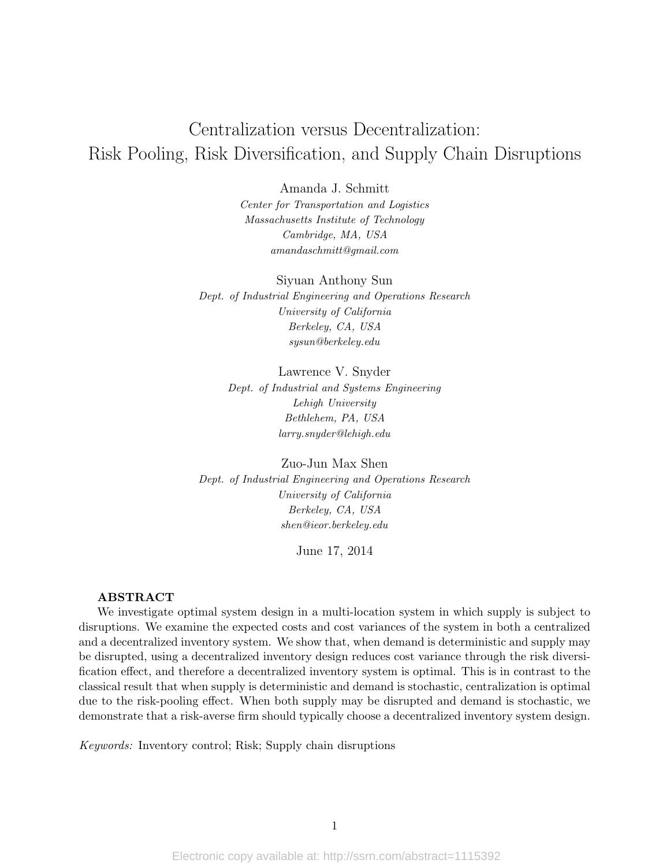# Centralization versus Decentralization: Risk Pooling, Risk Diversification, and Supply Chain Disruptions

Amanda J. Schmitt

Center for Transportation and Logistics Massachusetts Institute of Technology Cambridge, MA, USA amandaschmitt@gmail.com

Siyuan Anthony Sun Dept. of Industrial Engineering and Operations Research University of California Berkeley, CA, USA sysun@berkeley.edu

> Lawrence V. Snyder Dept. of Industrial and Systems Engineering Lehigh University Bethlehem, PA, USA larry.snyder@lehigh.edu

Zuo-Jun Max Shen Dept. of Industrial Engineering and Operations Research University of California Berkeley, CA, USA shen@ieor.berkeley.edu

June 17, 2014

#### ABSTRACT

We investigate optimal system design in a multi-location system in which supply is subject to disruptions. We examine the expected costs and cost variances of the system in both a centralized and a decentralized inventory system. We show that, when demand is deterministic and supply may be disrupted, using a decentralized inventory design reduces cost variance through the risk diversification effect, and therefore a decentralized inventory system is optimal. This is in contrast to the classical result that when supply is deterministic and demand is stochastic, centralization is optimal due to the risk-pooling effect. When both supply may be disrupted and demand is stochastic, we demonstrate that a risk-averse firm should typically choose a decentralized inventory system design.

Keywords: Inventory control; Risk; Supply chain disruptions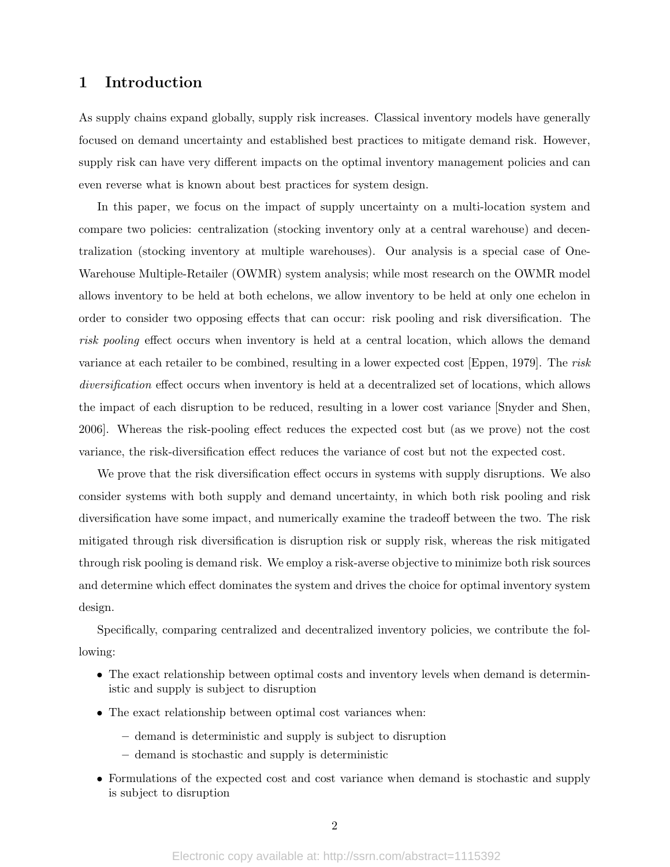## 1 Introduction

As supply chains expand globally, supply risk increases. Classical inventory models have generally focused on demand uncertainty and established best practices to mitigate demand risk. However, supply risk can have very different impacts on the optimal inventory management policies and can even reverse what is known about best practices for system design.

In this paper, we focus on the impact of supply uncertainty on a multi-location system and compare two policies: centralization (stocking inventory only at a central warehouse) and decentralization (stocking inventory at multiple warehouses). Our analysis is a special case of One-Warehouse Multiple-Retailer (OWMR) system analysis; while most research on the OWMR model allows inventory to be held at both echelons, we allow inventory to be held at only one echelon in order to consider two opposing effects that can occur: risk pooling and risk diversification. The risk pooling effect occurs when inventory is held at a central location, which allows the demand variance at each retailer to be combined, resulting in a lower expected cost [Eppen, 1979]. The risk diversification effect occurs when inventory is held at a decentralized set of locations, which allows the impact of each disruption to be reduced, resulting in a lower cost variance [Snyder and Shen, 2006]. Whereas the risk-pooling effect reduces the expected cost but (as we prove) not the cost variance, the risk-diversification effect reduces the variance of cost but not the expected cost.

We prove that the risk diversification effect occurs in systems with supply disruptions. We also consider systems with both supply and demand uncertainty, in which both risk pooling and risk diversification have some impact, and numerically examine the tradeoff between the two. The risk mitigated through risk diversification is disruption risk or supply risk, whereas the risk mitigated through risk pooling is demand risk. We employ a risk-averse objective to minimize both risk sources and determine which effect dominates the system and drives the choice for optimal inventory system design.

Specifically, comparing centralized and decentralized inventory policies, we contribute the following:

- The exact relationship between optimal costs and inventory levels when demand is deterministic and supply is subject to disruption
- The exact relationship between optimal cost variances when:
	- demand is deterministic and supply is subject to disruption
	- demand is stochastic and supply is deterministic
- Formulations of the expected cost and cost variance when demand is stochastic and supply is subject to disruption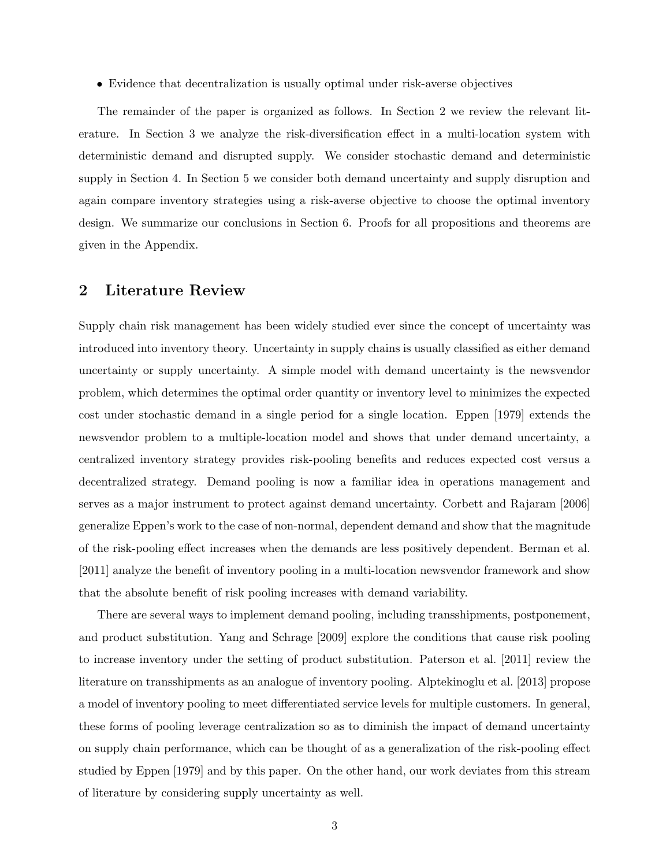• Evidence that decentralization is usually optimal under risk-averse objectives

The remainder of the paper is organized as follows. In Section 2 we review the relevant literature. In Section 3 we analyze the risk-diversification effect in a multi-location system with deterministic demand and disrupted supply. We consider stochastic demand and deterministic supply in Section 4. In Section 5 we consider both demand uncertainty and supply disruption and again compare inventory strategies using a risk-averse objective to choose the optimal inventory design. We summarize our conclusions in Section 6. Proofs for all propositions and theorems are given in the Appendix.

# 2 Literature Review

Supply chain risk management has been widely studied ever since the concept of uncertainty was introduced into inventory theory. Uncertainty in supply chains is usually classified as either demand uncertainty or supply uncertainty. A simple model with demand uncertainty is the newsvendor problem, which determines the optimal order quantity or inventory level to minimizes the expected cost under stochastic demand in a single period for a single location. Eppen [1979] extends the newsvendor problem to a multiple-location model and shows that under demand uncertainty, a centralized inventory strategy provides risk-pooling benefits and reduces expected cost versus a decentralized strategy. Demand pooling is now a familiar idea in operations management and serves as a major instrument to protect against demand uncertainty. Corbett and Rajaram [2006] generalize Eppen's work to the case of non-normal, dependent demand and show that the magnitude of the risk-pooling effect increases when the demands are less positively dependent. Berman et al. [2011] analyze the benefit of inventory pooling in a multi-location newsvendor framework and show that the absolute benefit of risk pooling increases with demand variability.

There are several ways to implement demand pooling, including transshipments, postponement, and product substitution. Yang and Schrage [2009] explore the conditions that cause risk pooling to increase inventory under the setting of product substitution. Paterson et al. [2011] review the literature on transshipments as an analogue of inventory pooling. Alptekinoglu et al. [2013] propose a model of inventory pooling to meet differentiated service levels for multiple customers. In general, these forms of pooling leverage centralization so as to diminish the impact of demand uncertainty on supply chain performance, which can be thought of as a generalization of the risk-pooling effect studied by Eppen [1979] and by this paper. On the other hand, our work deviates from this stream of literature by considering supply uncertainty as well.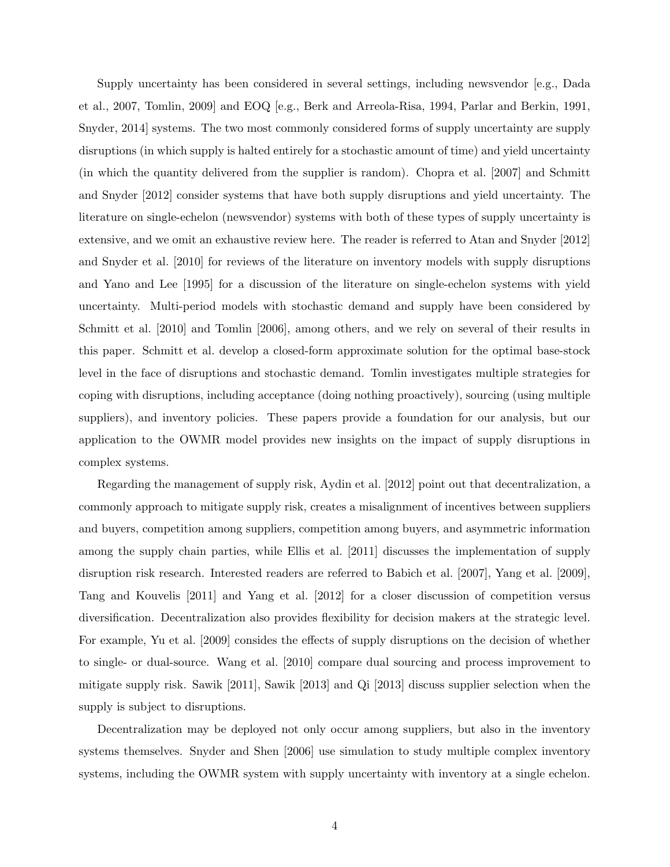Supply uncertainty has been considered in several settings, including newsvendor [e.g., Dada et al., 2007, Tomlin, 2009] and EOQ [e.g., Berk and Arreola-Risa, 1994, Parlar and Berkin, 1991, Snyder, 2014] systems. The two most commonly considered forms of supply uncertainty are supply disruptions (in which supply is halted entirely for a stochastic amount of time) and yield uncertainty (in which the quantity delivered from the supplier is random). Chopra et al. [2007] and Schmitt and Snyder [2012] consider systems that have both supply disruptions and yield uncertainty. The literature on single-echelon (newsvendor) systems with both of these types of supply uncertainty is extensive, and we omit an exhaustive review here. The reader is referred to Atan and Snyder [2012] and Snyder et al. [2010] for reviews of the literature on inventory models with supply disruptions and Yano and Lee [1995] for a discussion of the literature on single-echelon systems with yield uncertainty. Multi-period models with stochastic demand and supply have been considered by Schmitt et al. [2010] and Tomlin [2006], among others, and we rely on several of their results in this paper. Schmitt et al. develop a closed-form approximate solution for the optimal base-stock level in the face of disruptions and stochastic demand. Tomlin investigates multiple strategies for coping with disruptions, including acceptance (doing nothing proactively), sourcing (using multiple suppliers), and inventory policies. These papers provide a foundation for our analysis, but our application to the OWMR model provides new insights on the impact of supply disruptions in complex systems.

Regarding the management of supply risk, Aydin et al. [2012] point out that decentralization, a commonly approach to mitigate supply risk, creates a misalignment of incentives between suppliers and buyers, competition among suppliers, competition among buyers, and asymmetric information among the supply chain parties, while Ellis et al. [2011] discusses the implementation of supply disruption risk research. Interested readers are referred to Babich et al. [2007], Yang et al. [2009], Tang and Kouvelis [2011] and Yang et al. [2012] for a closer discussion of competition versus diversification. Decentralization also provides flexibility for decision makers at the strategic level. For example, Yu et al. [2009] consides the effects of supply disruptions on the decision of whether to single- or dual-source. Wang et al. [2010] compare dual sourcing and process improvement to mitigate supply risk. Sawik [2011], Sawik [2013] and Qi [2013] discuss supplier selection when the supply is subject to disruptions.

Decentralization may be deployed not only occur among suppliers, but also in the inventory systems themselves. Snyder and Shen [2006] use simulation to study multiple complex inventory systems, including the OWMR system with supply uncertainty with inventory at a single echelon.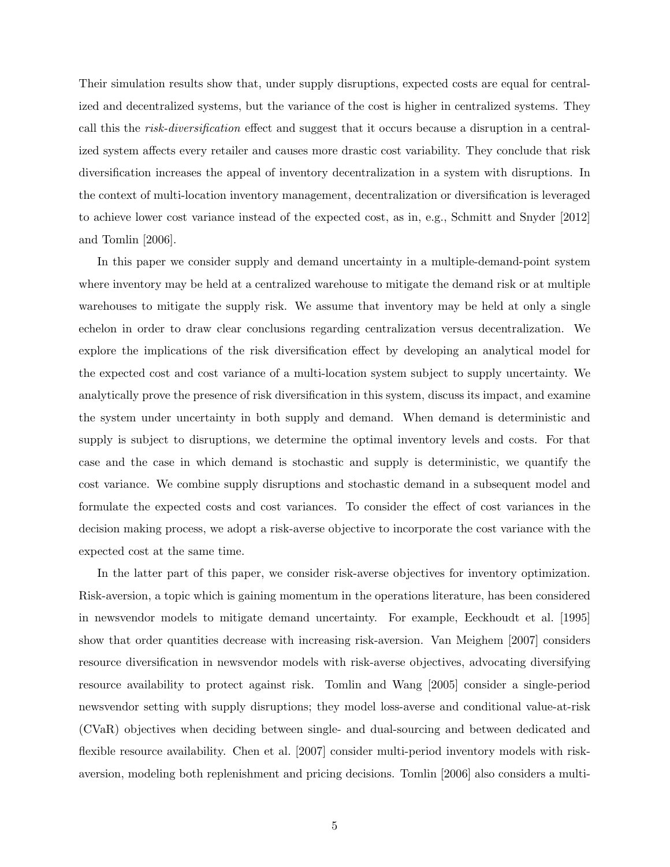Their simulation results show that, under supply disruptions, expected costs are equal for centralized and decentralized systems, but the variance of the cost is higher in centralized systems. They call this the risk-diversification effect and suggest that it occurs because a disruption in a centralized system affects every retailer and causes more drastic cost variability. They conclude that risk diversification increases the appeal of inventory decentralization in a system with disruptions. In the context of multi-location inventory management, decentralization or diversification is leveraged to achieve lower cost variance instead of the expected cost, as in, e.g., Schmitt and Snyder [2012] and Tomlin [2006].

In this paper we consider supply and demand uncertainty in a multiple-demand-point system where inventory may be held at a centralized warehouse to mitigate the demand risk or at multiple warehouses to mitigate the supply risk. We assume that inventory may be held at only a single echelon in order to draw clear conclusions regarding centralization versus decentralization. We explore the implications of the risk diversification effect by developing an analytical model for the expected cost and cost variance of a multi-location system subject to supply uncertainty. We analytically prove the presence of risk diversification in this system, discuss its impact, and examine the system under uncertainty in both supply and demand. When demand is deterministic and supply is subject to disruptions, we determine the optimal inventory levels and costs. For that case and the case in which demand is stochastic and supply is deterministic, we quantify the cost variance. We combine supply disruptions and stochastic demand in a subsequent model and formulate the expected costs and cost variances. To consider the effect of cost variances in the decision making process, we adopt a risk-averse objective to incorporate the cost variance with the expected cost at the same time.

In the latter part of this paper, we consider risk-averse objectives for inventory optimization. Risk-aversion, a topic which is gaining momentum in the operations literature, has been considered in newsvendor models to mitigate demand uncertainty. For example, Eeckhoudt et al. [1995] show that order quantities decrease with increasing risk-aversion. Van Meighem [2007] considers resource diversification in newsvendor models with risk-averse objectives, advocating diversifying resource availability to protect against risk. Tomlin and Wang [2005] consider a single-period newsvendor setting with supply disruptions; they model loss-averse and conditional value-at-risk (CVaR) objectives when deciding between single- and dual-sourcing and between dedicated and flexible resource availability. Chen et al. [2007] consider multi-period inventory models with riskaversion, modeling both replenishment and pricing decisions. Tomlin [2006] also considers a multi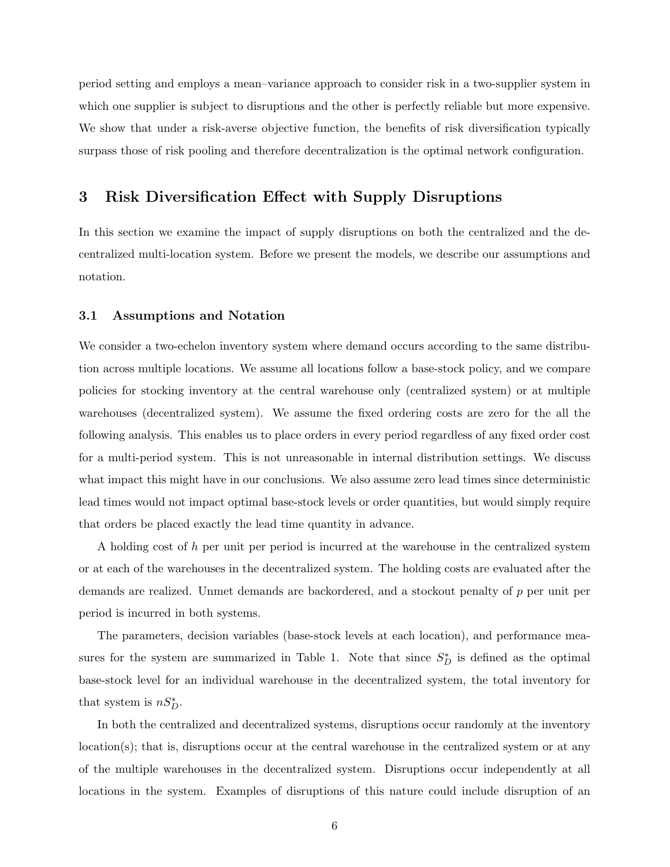period setting and employs a mean–variance approach to consider risk in a two-supplier system in which one supplier is subject to disruptions and the other is perfectly reliable but more expensive. We show that under a risk-averse objective function, the benefits of risk diversification typically surpass those of risk pooling and therefore decentralization is the optimal network configuration.

# 3 Risk Diversification Effect with Supply Disruptions

In this section we examine the impact of supply disruptions on both the centralized and the decentralized multi-location system. Before we present the models, we describe our assumptions and notation.

#### 3.1 Assumptions and Notation

We consider a two-echelon inventory system where demand occurs according to the same distribution across multiple locations. We assume all locations follow a base-stock policy, and we compare policies for stocking inventory at the central warehouse only (centralized system) or at multiple warehouses (decentralized system). We assume the fixed ordering costs are zero for the all the following analysis. This enables us to place orders in every period regardless of any fixed order cost for a multi-period system. This is not unreasonable in internal distribution settings. We discuss what impact this might have in our conclusions. We also assume zero lead times since deterministic lead times would not impact optimal base-stock levels or order quantities, but would simply require that orders be placed exactly the lead time quantity in advance.

A holding cost of h per unit per period is incurred at the warehouse in the centralized system or at each of the warehouses in the decentralized system. The holding costs are evaluated after the demands are realized. Unmet demands are backordered, and a stockout penalty of p per unit per period is incurred in both systems.

The parameters, decision variables (base-stock levels at each location), and performance measures for the system are summarized in Table 1. Note that since  $S_D^*$  is defined as the optimal base-stock level for an individual warehouse in the decentralized system, the total inventory for that system is  $nS_D^*$ .

In both the centralized and decentralized systems, disruptions occur randomly at the inventory location(s); that is, disruptions occur at the central warehouse in the centralized system or at any of the multiple warehouses in the decentralized system. Disruptions occur independently at all locations in the system. Examples of disruptions of this nature could include disruption of an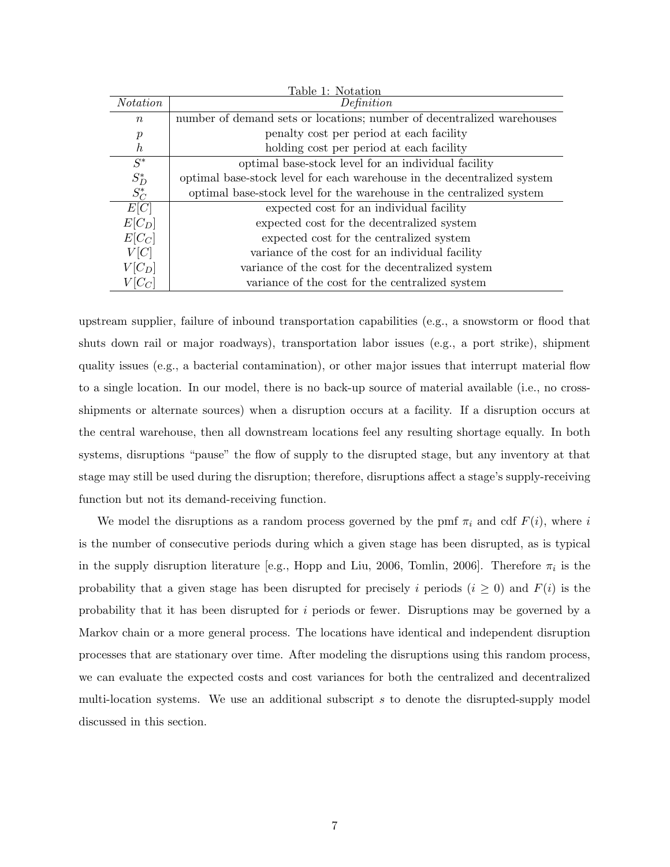| Table 1: Notation |                                                                         |  |  |  |
|-------------------|-------------------------------------------------------------------------|--|--|--|
| <i>Notation</i>   | Definition                                                              |  |  |  |
| $\boldsymbol{n}$  | number of demand sets or locations; number of decentralized warehouses  |  |  |  |
| $\boldsymbol{p}$  | penalty cost per period at each facility                                |  |  |  |
| $\hbar$           | holding cost per period at each facility                                |  |  |  |
| $S^*$             | optimal base-stock level for an individual facility                     |  |  |  |
| $S_{D}^{\ast}$    | optimal base-stock level for each warehouse in the decentralized system |  |  |  |
| $S_C^*$           | optimal base-stock level for the warehouse in the centralized system    |  |  |  |
| E[C]              | expected cost for an individual facility                                |  |  |  |
| $E[C_D]$          | expected cost for the decentralized system                              |  |  |  |
| $E[C_C]$          | expected cost for the centralized system                                |  |  |  |
| V[C]              | variance of the cost for an individual facility                         |  |  |  |
| $V[C_D]$          | variance of the cost for the decentralized system                       |  |  |  |
| $V C_C $          | variance of the cost for the centralized system                         |  |  |  |

upstream supplier, failure of inbound transportation capabilities (e.g., a snowstorm or flood that shuts down rail or major roadways), transportation labor issues (e.g., a port strike), shipment quality issues (e.g., a bacterial contamination), or other major issues that interrupt material flow to a single location. In our model, there is no back-up source of material available (i.e., no crossshipments or alternate sources) when a disruption occurs at a facility. If a disruption occurs at the central warehouse, then all downstream locations feel any resulting shortage equally. In both systems, disruptions "pause" the flow of supply to the disrupted stage, but any inventory at that stage may still be used during the disruption; therefore, disruptions affect a stage's supply-receiving function but not its demand-receiving function.

We model the disruptions as a random process governed by the pmf  $\pi_i$  and cdf  $F(i)$ , where i is the number of consecutive periods during which a given stage has been disrupted, as is typical in the supply disruption literature [e.g., Hopp and Liu, 2006, Tomlin, 2006]. Therefore  $\pi_i$  is the probability that a given stage has been disrupted for precisely i periods  $(i \geq 0)$  and  $F(i)$  is the probability that it has been disrupted for i periods or fewer. Disruptions may be governed by a Markov chain or a more general process. The locations have identical and independent disruption processes that are stationary over time. After modeling the disruptions using this random process, we can evaluate the expected costs and cost variances for both the centralized and decentralized multi-location systems. We use an additional subscript  $s$  to denote the disrupted-supply model discussed in this section.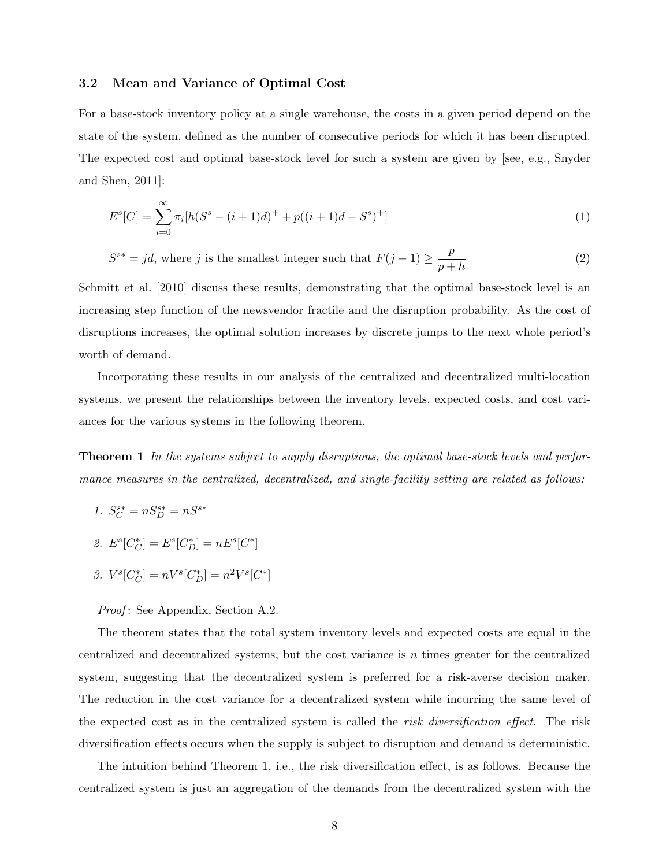#### 3.2 Mean and Variance of Optimal Cost

For a base-stock inventory policy at a single warehouse, the costs in a given period depend on the state of the system, defined as the number of consecutive periods for which it has been disrupted. The expected cost and optimal base-stock level for such a system are given by [see, e.g., Snyder and Shen, 2011]:

$$
E^{s}[C] = \sum_{i=0}^{\infty} \pi_i[h(S^{s} - (i+1)d)^{+} + p((i+1)d - S^{s})^{+}]
$$
\n(1)

 $S^{s*} = jd$ , where j is the smallest integer such that  $F(j-1) \geq \frac{p}{j}$  $p + h$ (2)

Schmitt et al. [2010] discuss these results, demonstrating that the optimal base-stock level is an increasing step function of the newsvendor fractile and the disruption probability. As the cost of disruptions increases, the optimal solution increases by discrete jumps to the next whole period's worth of demand.

Incorporating these results in our analysis of the centralized and decentralized multi-location systems, we present the relationships between the inventory levels, expected costs, and cost variances for the various systems in the following theorem.

Theorem 1 In the systems subject to supply disruptions, the optimal base-stock levels and performance measures in the centralized, decentralized, and single-facility setting are related as follows:

- 1.  $S_C^{s*} = nS_D^{s*} = nS^{s*}$
- 2.  $E^s[C_C^*] = E^s[C_D^*] = nE^s[C^*]$
- 3.  $V^s[C_C^*] = nV^s[C_D^*] = n^2V^s[C^*]$

Proof: See Appendix, Section A.2.

The theorem states that the total system inventory levels and expected costs are equal in the centralized and decentralized systems, but the cost variance is  $n$  times greater for the centralized system, suggesting that the decentralized system is preferred for a risk-averse decision maker. The reduction in the cost variance for a decentralized system while incurring the same level of the expected cost as in the centralized system is called the risk diversification effect. The risk diversification effects occurs when the supply is subject to disruption and demand is deterministic.

The intuition behind Theorem 1, i.e., the risk diversification effect, is as follows. Because the centralized system is just an aggregation of the demands from the decentralized system with the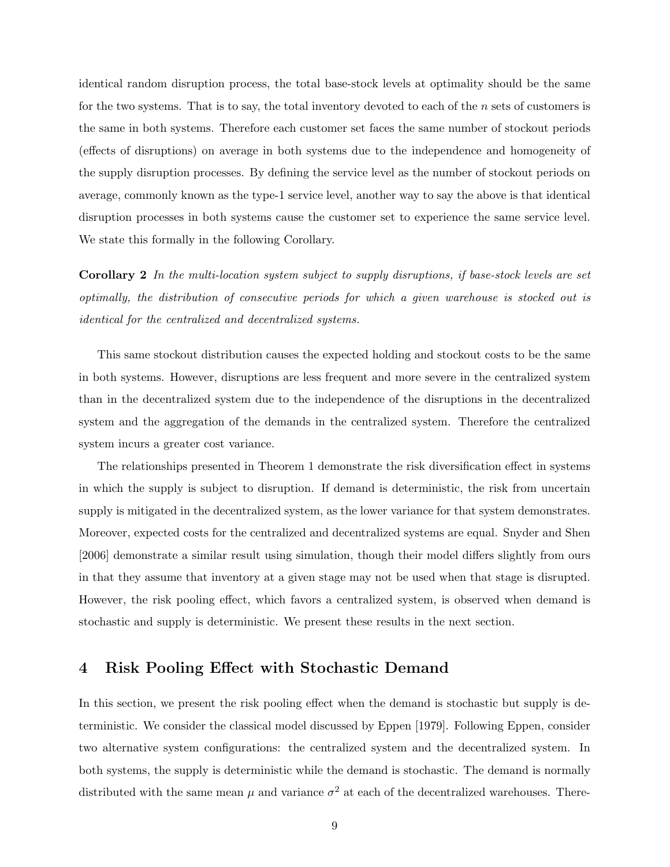identical random disruption process, the total base-stock levels at optimality should be the same for the two systems. That is to say, the total inventory devoted to each of the n sets of customers is the same in both systems. Therefore each customer set faces the same number of stockout periods (effects of disruptions) on average in both systems due to the independence and homogeneity of the supply disruption processes. By defining the service level as the number of stockout periods on average, commonly known as the type-1 service level, another way to say the above is that identical disruption processes in both systems cause the customer set to experience the same service level. We state this formally in the following Corollary.

Corollary 2 In the multi-location system subject to supply disruptions, if base-stock levels are set optimally, the distribution of consecutive periods for which a given warehouse is stocked out is identical for the centralized and decentralized systems.

This same stockout distribution causes the expected holding and stockout costs to be the same in both systems. However, disruptions are less frequent and more severe in the centralized system than in the decentralized system due to the independence of the disruptions in the decentralized system and the aggregation of the demands in the centralized system. Therefore the centralized system incurs a greater cost variance.

The relationships presented in Theorem 1 demonstrate the risk diversification effect in systems in which the supply is subject to disruption. If demand is deterministic, the risk from uncertain supply is mitigated in the decentralized system, as the lower variance for that system demonstrates. Moreover, expected costs for the centralized and decentralized systems are equal. Snyder and Shen [2006] demonstrate a similar result using simulation, though their model differs slightly from ours in that they assume that inventory at a given stage may not be used when that stage is disrupted. However, the risk pooling effect, which favors a centralized system, is observed when demand is stochastic and supply is deterministic. We present these results in the next section.

### 4 Risk Pooling Effect with Stochastic Demand

In this section, we present the risk pooling effect when the demand is stochastic but supply is deterministic. We consider the classical model discussed by Eppen [1979]. Following Eppen, consider two alternative system configurations: the centralized system and the decentralized system. In both systems, the supply is deterministic while the demand is stochastic. The demand is normally distributed with the same mean  $\mu$  and variance  $\sigma^2$  at each of the decentralized warehouses. There-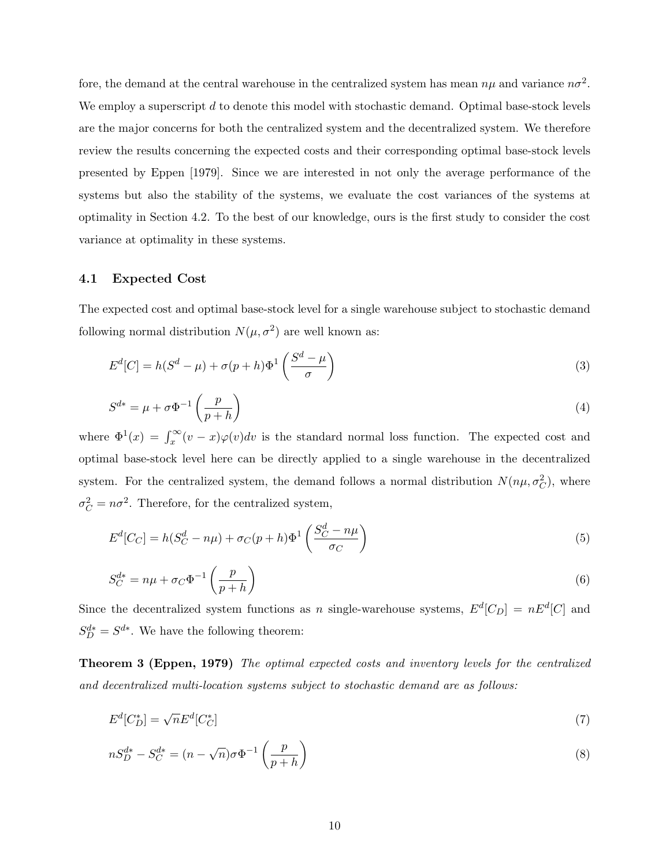fore, the demand at the central warehouse in the centralized system has mean  $n\mu$  and variance  $n\sigma^2$ . We employ a superscript d to denote this model with stochastic demand. Optimal base-stock levels are the major concerns for both the centralized system and the decentralized system. We therefore review the results concerning the expected costs and their corresponding optimal base-stock levels presented by Eppen [1979]. Since we are interested in not only the average performance of the systems but also the stability of the systems, we evaluate the cost variances of the systems at optimality in Section 4.2. To the best of our knowledge, ours is the first study to consider the cost variance at optimality in these systems.

#### 4.1 Expected Cost

The expected cost and optimal base-stock level for a single warehouse subject to stochastic demand following normal distribution  $N(\mu, \sigma^2)$  are well known as:

$$
E^{d}[C] = h(S^{d} - \mu) + \sigma(p + h)\Phi^{1}\left(\frac{S^{d} - \mu}{\sigma}\right)
$$
\n(3)

$$
S^{d*} = \mu + \sigma \Phi^{-1} \left( \frac{p}{p+h} \right) \tag{4}
$$

where  $\Phi^1(x) = \int_x^{\infty} (v-x) \varphi(v) dv$  is the standard normal loss function. The expected cost and optimal base-stock level here can be directly applied to a single warehouse in the decentralized system. For the centralized system, the demand follows a normal distribution  $N(n\mu, \sigma_C^2)$ , where  $\sigma_C^2 = n\sigma^2$ . Therefore, for the centralized system,

$$
E^d[C_C] = h(S_C^d - n\mu) + \sigma_C(p + h)\Phi^1\left(\frac{S_C^d - n\mu}{\sigma_C}\right)
$$
\n<sup>(5)</sup>

$$
S_C^{d*} = n\mu + \sigma_C \Phi^{-1}\left(\frac{p}{p+h}\right) \tag{6}
$$

Since the decentralized system functions as n single-warehouse systems,  $E^d[C_D] = nE^d[C]$  and  $S_D^{d*} = S^{d*}$ . We have the following theorem:

Theorem 3 (Eppen, 1979) The optimal expected costs and inventory levels for the centralized and decentralized multi-location systems subject to stochastic demand are as follows:

$$
E^d[C_D^*] = \sqrt{n}E^d[C_C^*] \tag{7}
$$

$$
nS_D^{d*} - S_C^{d*} = (n - \sqrt{n})\sigma \Phi^{-1}\left(\frac{p}{p+h}\right)
$$
\n(8)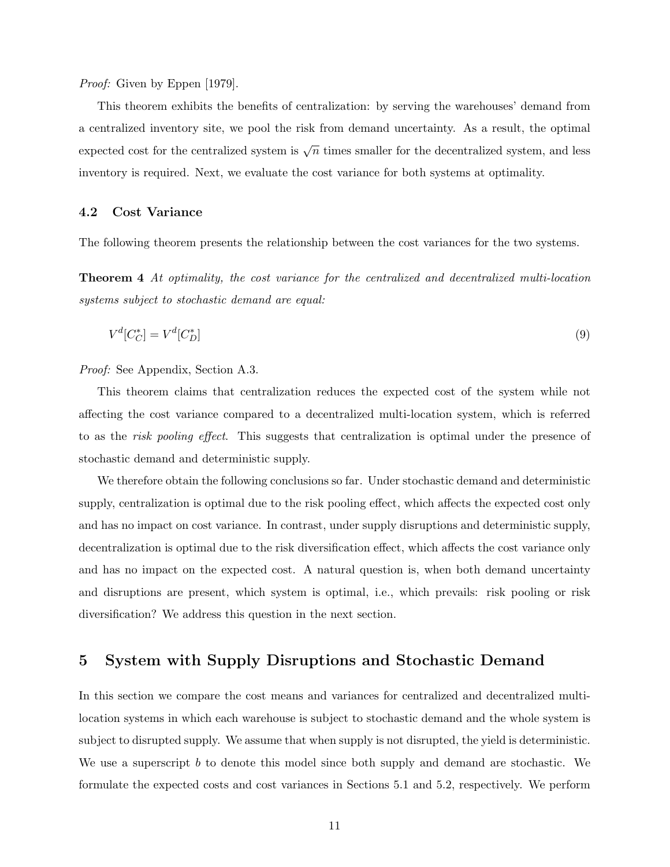Proof: Given by Eppen [1979].

This theorem exhibits the benefits of centralization: by serving the warehouses' demand from a centralized inventory site, we pool the risk from demand uncertainty. As a result, the optimal expected cost for the centralized system is  $\sqrt{n}$  times smaller for the decentralized system, and less inventory is required. Next, we evaluate the cost variance for both systems at optimality.

#### 4.2 Cost Variance

The following theorem presents the relationship between the cost variances for the two systems.

Theorem 4 At optimality, the cost variance for the centralized and decentralized multi-location systems subject to stochastic demand are equal:

$$
V^d[C_C^*] = V^d[C_D^*] \tag{9}
$$

Proof: See Appendix, Section A.3.

This theorem claims that centralization reduces the expected cost of the system while not affecting the cost variance compared to a decentralized multi-location system, which is referred to as the *risk pooling effect*. This suggests that centralization is optimal under the presence of stochastic demand and deterministic supply.

We therefore obtain the following conclusions so far. Under stochastic demand and deterministic supply, centralization is optimal due to the risk pooling effect, which affects the expected cost only and has no impact on cost variance. In contrast, under supply disruptions and deterministic supply, decentralization is optimal due to the risk diversification effect, which affects the cost variance only and has no impact on the expected cost. A natural question is, when both demand uncertainty and disruptions are present, which system is optimal, i.e., which prevails: risk pooling or risk diversification? We address this question in the next section.

# 5 System with Supply Disruptions and Stochastic Demand

In this section we compare the cost means and variances for centralized and decentralized multilocation systems in which each warehouse is subject to stochastic demand and the whole system is subject to disrupted supply. We assume that when supply is not disrupted, the yield is deterministic. We use a superscript  $b$  to denote this model since both supply and demand are stochastic. We formulate the expected costs and cost variances in Sections 5.1 and 5.2, respectively. We perform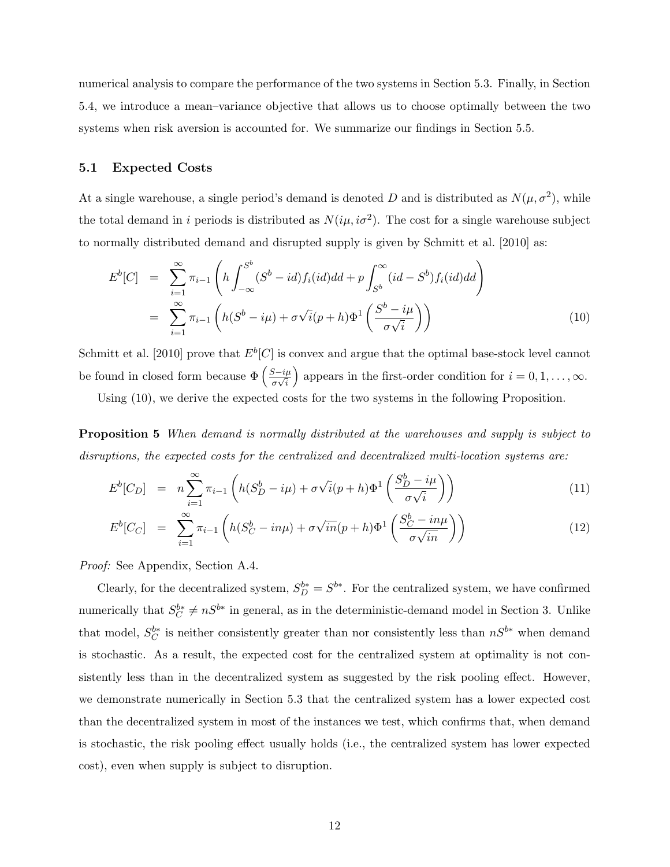numerical analysis to compare the performance of the two systems in Section 5.3. Finally, in Section 5.4, we introduce a mean–variance objective that allows us to choose optimally between the two systems when risk aversion is accounted for. We summarize our findings in Section 5.5.

#### 5.1 Expected Costs

At a single warehouse, a single period's demand is denoted D and is distributed as  $N(\mu, \sigma^2)$ , while the total demand in i periods is distributed as  $N(i\mu, i\sigma^2)$ . The cost for a single warehouse subject to normally distributed demand and disrupted supply is given by Schmitt et al. [2010] as:

$$
E^{b}[C] = \sum_{i=1}^{\infty} \pi_{i-1} \left( h \int_{-\infty}^{S^{b}} (S^{b} - id) f_{i}(id) dd + p \int_{S^{b}}^{\infty} (id - S^{b}) f_{i}(id) dd \right)
$$
  

$$
= \sum_{i=1}^{\infty} \pi_{i-1} \left( h(S^{b} - i\mu) + \sigma \sqrt{i} (p + h) \Phi^{1} \left( \frac{S^{b} - i\mu}{\sigma \sqrt{i}} \right) \right)
$$
(10)

Schmitt et al. [2010] prove that  $E^b[C]$  is convex and argue that the optimal base-stock level cannot be found in closed form because  $\Phi\left(\frac{S-i\mu}{\sigma s}\right)$  $\frac{5-i\mu}{\sigma\sqrt{i}}$ appears in the first-order condition for  $i = 0, 1, \ldots, \infty$ .

Using (10), we derive the expected costs for the two systems in the following Proposition.

Proposition 5 When demand is normally distributed at the warehouses and supply is subject to disruptions, the expected costs for the centralized and decentralized multi-location systems are:

$$
E^{b}[C_D] = n \sum_{i=1}^{\infty} \pi_{i-1} \left( h(S_D^b - i\mu) + \sigma \sqrt{i} (p+h) \Phi^1 \left( \frac{S_D^b - i\mu}{\sigma \sqrt{i}} \right) \right)
$$
(11)

$$
E^{b}[C_C] = \sum_{i=1}^{\infty} \pi_{i-1} \left( h(S_C^b - in\mu) + \sigma \sqrt{in} (p+h) \Phi^1 \left( \frac{S_C^b - in\mu}{\sigma \sqrt{in}} \right) \right)
$$
(12)

Proof: See Appendix, Section A.4.

Clearly, for the decentralized system,  $S_D^{b*} = S^{b*}$ . For the centralized system, we have confirmed numerically that  $S_C^{b*} \neq nS^{b*}$  in general, as in the deterministic-demand model in Section 3. Unlike that model,  $S_C^{b*}$  is neither consistently greater than nor consistently less than  $nS^{b*}$  when demand is stochastic. As a result, the expected cost for the centralized system at optimality is not consistently less than in the decentralized system as suggested by the risk pooling effect. However, we demonstrate numerically in Section 5.3 that the centralized system has a lower expected cost than the decentralized system in most of the instances we test, which confirms that, when demand is stochastic, the risk pooling effect usually holds (i.e., the centralized system has lower expected cost), even when supply is subject to disruption.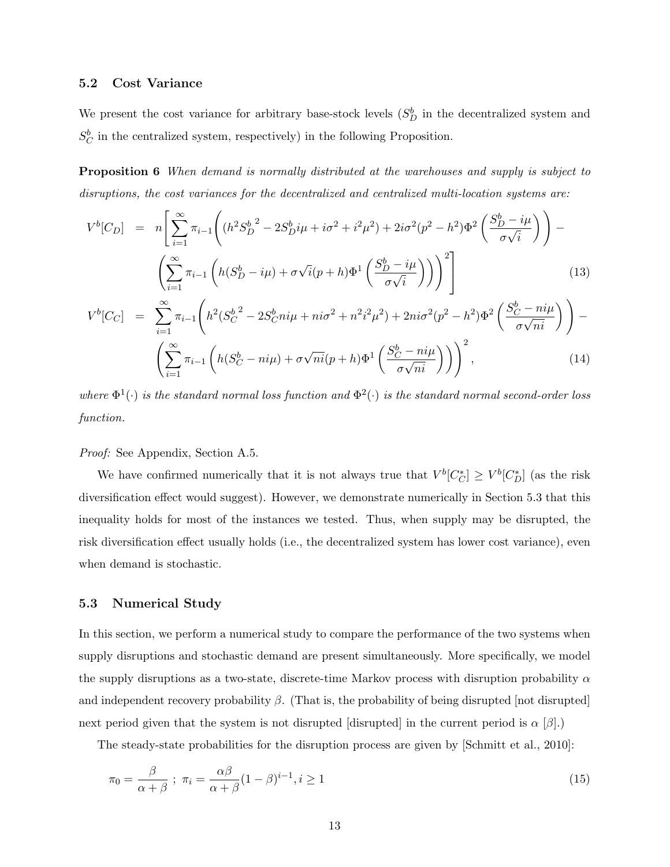#### 5.2 Cost Variance

We present the cost variance for arbitrary base-stock levels  $(S_D^b)$  in the decentralized system and  $S_C^b$  in the centralized system, respectively) in the following Proposition.

**Proposition 6** When demand is normally distributed at the warehouses and supply is subject to disruptions, the cost variances for the decentralized and centralized multi-location systems are:

$$
V^{b}[C_{D}] = n\left[\sum_{i=1}^{\infty} \pi_{i-1}\left((h^{2}S_{D}^{b})^{2} - 2S_{D}^{b}i\mu + i\sigma^{2} + i^{2}\mu^{2}) + 2i\sigma^{2}(p^{2} - h^{2})\Phi^{2}\left(\frac{S_{D}^{b} - i\mu}{\sigma\sqrt{i}}\right)\right) - \left(\sum_{i=1}^{\infty} \pi_{i-1}\left(h(S_{D}^{b} - i\mu) + \sigma\sqrt{i}(p+h)\Phi^{1}\left(\frac{S_{D}^{b} - i\mu}{\sigma\sqrt{i}}\right)\right)\right)^{2}\right]
$$
\n
$$
V^{b}[C_{C}] = \sum_{i=1}^{\infty} \pi_{i-1}\left(h^{2}(S_{C}^{b})^{2} - 2S_{C}^{b}ni\mu + ni\sigma^{2} + n^{2}i^{2}\mu^{2}) + 2ni\sigma^{2}(p^{2} - h^{2})\Phi^{2}\left(\frac{S_{C}^{b} - ni\mu}{\sqrt{1-\mu}}\right)\right) - \left(\frac{S_{C}^{b} - ni\mu}{\sqrt{1-\mu}}\right)^{2}\Phi^{2}\left(\frac{S_{C}^{b} - ni\mu}{\sqrt{1-\mu}}\right)
$$
\n
$$
(13)
$$

$$
V^b[C_C] = \sum_{i=1}^{\infty} \pi_{i-1} \left( h^2 (S_C^{b^2} - 2S_C^b n i \mu + n i \sigma^2 + n^2 i^2 \mu^2) + 2n i \sigma^2 (p^2 - h^2) \Phi^2 \left( \frac{S_C^b - n i \mu}{\sigma \sqrt{n i}} \right) \right) - \left( \sum_{i=1}^{\infty} \pi_{i-1} \left( h(S_C^b - n i \mu) + \sigma \sqrt{n i} (p + h) \Phi^1 \left( \frac{S_C^b - n i \mu}{\sigma \sqrt{n i}} \right) \right) \right)^2, \tag{14}
$$

where  $\Phi^1(\cdot)$  is the standard normal loss function and  $\Phi^2(\cdot)$  is the standard normal second-order loss function.

Proof: See Appendix, Section A.5.

We have confirmed numerically that it is not always true that  $V^b[C^*_{C}] \geq V^b[C^*_{D}]$  (as the risk diversification effect would suggest). However, we demonstrate numerically in Section 5.3 that this inequality holds for most of the instances we tested. Thus, when supply may be disrupted, the risk diversification effect usually holds (i.e., the decentralized system has lower cost variance), even when demand is stochastic.

#### 5.3 Numerical Study

In this section, we perform a numerical study to compare the performance of the two systems when supply disruptions and stochastic demand are present simultaneously. More specifically, we model the supply disruptions as a two-state, discrete-time Markov process with disruption probability  $\alpha$ and independent recovery probability  $\beta$ . (That is, the probability of being disrupted [not disrupted] next period given that the system is not disrupted [disrupted] in the current period is  $\alpha$  [ $\beta$ ].)

The steady-state probabilities for the disruption process are given by [Schmitt et al., 2010]:

$$
\pi_0 = \frac{\beta}{\alpha + \beta} \; ; \; \pi_i = \frac{\alpha \beta}{\alpha + \beta} (1 - \beta)^{i - 1}, i \ge 1 \tag{15}
$$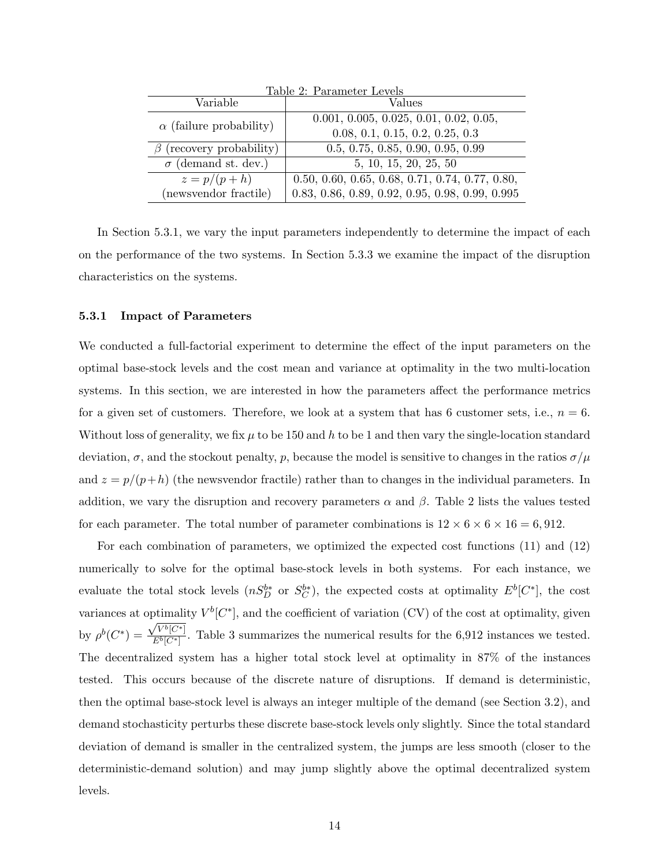| Table 2: Parameter Levels      |                                                   |  |  |  |
|--------------------------------|---------------------------------------------------|--|--|--|
| Variable                       | Values                                            |  |  |  |
| $\alpha$ (failure probability) | $0.001, 0.005, 0.025, 0.01, 0.02, 0.05,$          |  |  |  |
|                                | 0.08, 0.1, 0.15, 0.2, 0.25, 0.3                   |  |  |  |
| (recovery probability)         | 0.5, 0.75, 0.85, 0.90, 0.95, 0.99                 |  |  |  |
| $\sigma$ (demand st. dev.)     | 5, 10, 15, 20, 25, 50                             |  |  |  |
| $z = p/(p+h)$                  | $0.50, 0.60, 0.65, 0.68, 0.71, 0.74, 0.77, 0.80,$ |  |  |  |
| (newsvendor fractile)          | 0.83, 0.86, 0.89, 0.92, 0.95, 0.98, 0.99, 0.995   |  |  |  |

In Section 5.3.1, we vary the input parameters independently to determine the impact of each on the performance of the two systems. In Section 5.3.3 we examine the impact of the disruption characteristics on the systems.

#### 5.3.1 Impact of Parameters

We conducted a full-factorial experiment to determine the effect of the input parameters on the optimal base-stock levels and the cost mean and variance at optimality in the two multi-location systems. In this section, we are interested in how the parameters affect the performance metrics for a given set of customers. Therefore, we look at a system that has 6 customer sets, i.e.,  $n = 6$ . Without loss of generality, we fix  $\mu$  to be 150 and h to be 1 and then vary the single-location standard deviation,  $\sigma$ , and the stockout penalty, p, because the model is sensitive to changes in the ratios  $\sigma/\mu$ and  $z = p/(p+h)$  (the newsvendor fractile) rather than to changes in the individual parameters. In addition, we vary the disruption and recovery parameters  $\alpha$  and  $\beta$ . Table 2 lists the values tested for each parameter. The total number of parameter combinations is  $12 \times 6 \times 6 \times 16 = 6,912$ .

For each combination of parameters, we optimized the expected cost functions (11) and (12) numerically to solve for the optimal base-stock levels in both systems. For each instance, we evaluate the total stock levels  $(nS_D^{b*}$  or  $S_C^{b*}$ ), the expected costs at optimality  $E^b[C^*]$ , the cost variances at optimality  $V^b[C^*]$ , and the coefficient of variation (CV) of the cost at optimality, given by  $\rho^{b}(C^{*}) = \frac{\sqrt{V^{b}[C^{*}]} }{F^{b}[C^{*}]}$  $\frac{\mathcal{L}^b[\mathcal{C}^*]}{\mathcal{E}^b[\mathcal{C}^*]}$ . Table 3 summarizes the numerical results for the 6,912 instances we tested. The decentralized system has a higher total stock level at optimality in 87% of the instances tested. This occurs because of the discrete nature of disruptions. If demand is deterministic, then the optimal base-stock level is always an integer multiple of the demand (see Section 3.2), and demand stochasticity perturbs these discrete base-stock levels only slightly. Since the total standard deviation of demand is smaller in the centralized system, the jumps are less smooth (closer to the deterministic-demand solution) and may jump slightly above the optimal decentralized system levels.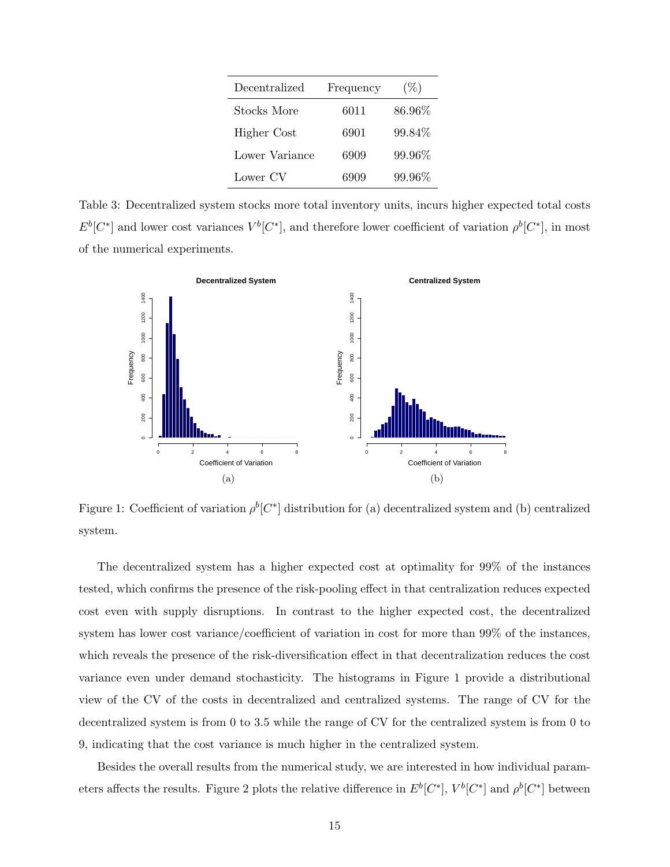| Decentralized  | Frequency | $(\%)$ |
|----------------|-----------|--------|
| Stocks More    | 6011      | 86.96% |
| Higher Cost    | 6901      | 99.84% |
| Lower Variance | 6909      | 99.96% |
| Lower CV       | 6909      | 99.96% |

Table 3: Decentralized system stocks more total inventory units, incurs higher expected total costs  $E^b[C^*]$  and lower cost variances  $V^b[C^*]$ , and therefore lower coefficient of variation  $\rho^b[C^*]$ , in most of the numerical experiments.



Figure 1: Coefficient of variation  $\rho^b[C^*]$  distribution for (a) decentralized system and (b) centralized system.

The decentralized system has a higher expected cost at optimality for 99% of the instances tested, which confirms the presence of the risk-pooling effect in that centralization reduces expected cost even with supply disruptions. In contrast to the higher expected cost, the decentralized system has lower cost variance/coefficient of variation in cost for more than 99% of the instances, which reveals the presence of the risk-diversification effect in that decentralization reduces the cost variance even under demand stochasticity. The histograms in Figure 1 provide a distributional view of the CV of the costs in decentralized and centralized systems. The range of CV for the decentralized system is from 0 to 3.5 while the range of CV for the centralized system is from 0 to 9, indicating that the cost variance is much higher in the centralized system.

Besides the overall results from the numerical study, we are interested in how individual parameters affects the results. Figure 2 plots the relative difference in  $E^b[C^*]$ ,  $V^b[C^*]$  and  $\rho^b[C^*]$  between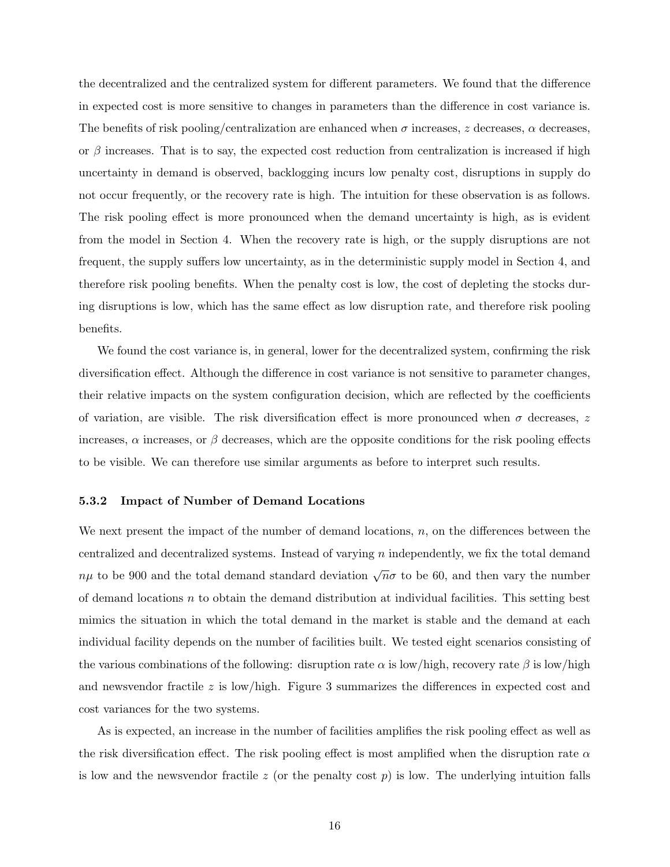the decentralized and the centralized system for different parameters. We found that the difference in expected cost is more sensitive to changes in parameters than the difference in cost variance is. The benefits of risk pooling/centralization are enhanced when  $\sigma$  increases, z decreases,  $\alpha$  decreases, or  $\beta$  increases. That is to say, the expected cost reduction from centralization is increased if high uncertainty in demand is observed, backlogging incurs low penalty cost, disruptions in supply do not occur frequently, or the recovery rate is high. The intuition for these observation is as follows. The risk pooling effect is more pronounced when the demand uncertainty is high, as is evident from the model in Section 4. When the recovery rate is high, or the supply disruptions are not frequent, the supply suffers low uncertainty, as in the deterministic supply model in Section 4, and therefore risk pooling benefits. When the penalty cost is low, the cost of depleting the stocks during disruptions is low, which has the same effect as low disruption rate, and therefore risk pooling benefits.

We found the cost variance is, in general, lower for the decentralized system, confirming the risk diversification effect. Although the difference in cost variance is not sensitive to parameter changes, their relative impacts on the system configuration decision, which are reflected by the coefficients of variation, are visible. The risk diversification effect is more pronounced when  $\sigma$  decreases, z increases,  $\alpha$  increases, or  $\beta$  decreases, which are the opposite conditions for the risk pooling effects to be visible. We can therefore use similar arguments as before to interpret such results.

#### 5.3.2 Impact of Number of Demand Locations

We next present the impact of the number of demand locations,  $n$ , on the differences between the centralized and decentralized systems. Instead of varying n independently, we fix the total demand  $n\mu$  to be 900 and the total demand standard deviation  $\sqrt{n}\sigma$  to be 60, and then vary the number of demand locations  $n$  to obtain the demand distribution at individual facilities. This setting best mimics the situation in which the total demand in the market is stable and the demand at each individual facility depends on the number of facilities built. We tested eight scenarios consisting of the various combinations of the following: disruption rate  $\alpha$  is low/high, recovery rate  $\beta$  is low/high and newsvendor fractile  $z$  is low/high. Figure 3 summarizes the differences in expected cost and cost variances for the two systems.

As is expected, an increase in the number of facilities amplifies the risk pooling effect as well as the risk diversification effect. The risk pooling effect is most amplified when the disruption rate  $\alpha$ is low and the newsvendor fractile  $z$  (or the penalty cost  $p$ ) is low. The underlying intuition falls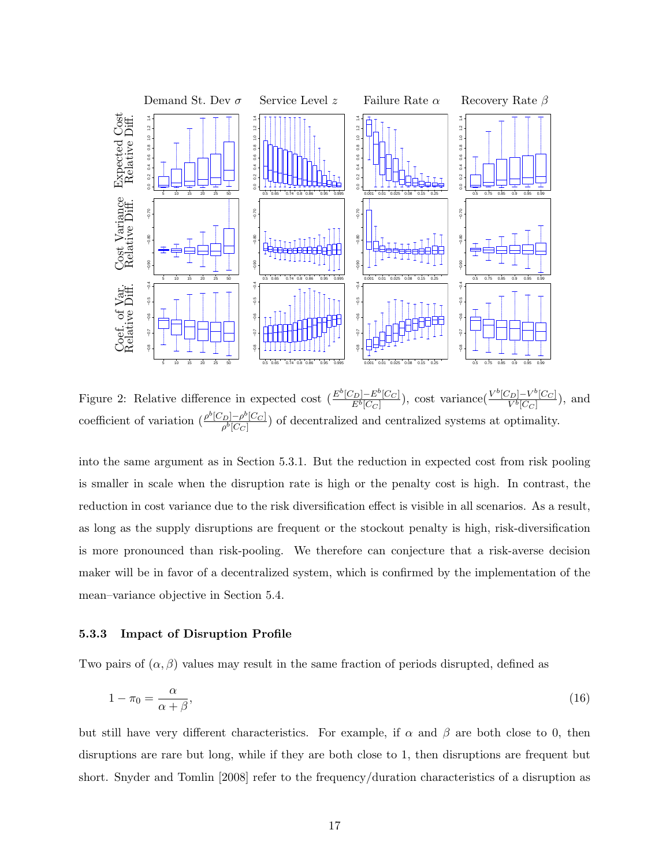

Figure 2: Relative difference in expected cost  $\left(\frac{E^b[C_D]-E^b[C_C]}{E^b[C-]} \right)$  $\frac{[V_D]-E^b[C_C]}{E^b[C_C]}$ ), cost variance $\frac{V^b[C_D]-V^b[C_C]}{V^b[C_C]}$  $\frac{\sum_{D} V^{\circ} [C_C]}{V^b [C_C]},$  and coefficient of variation  $\left(\frac{\rho^b [C_D] - \rho^b [C_C]}{ab [C_C]}\right)$  $\frac{D[-\rho^{\circ}(C_C])}{\rho^b[C_C]}$  of decentralized and centralized systems at optimality.

into the same argument as in Section 5.3.1. But the reduction in expected cost from risk pooling is smaller in scale when the disruption rate is high or the penalty cost is high. In contrast, the reduction in cost variance due to the risk diversification effect is visible in all scenarios. As a result, as long as the supply disruptions are frequent or the stockout penalty is high, risk-diversification is more pronounced than risk-pooling. We therefore can conjecture that a risk-averse decision maker will be in favor of a decentralized system, which is confirmed by the implementation of the mean–variance objective in Section 5.4.

#### 5.3.3 Impact of Disruption Profile

Two pairs of  $(\alpha, \beta)$  values may result in the same fraction of periods disrupted, defined as

$$
1 - \pi_0 = \frac{\alpha}{\alpha + \beta},\tag{16}
$$

but still have very different characteristics. For example, if  $\alpha$  and  $\beta$  are both close to 0, then disruptions are rare but long, while if they are both close to 1, then disruptions are frequent but short. Snyder and Tomlin [2008] refer to the frequency/duration characteristics of a disruption as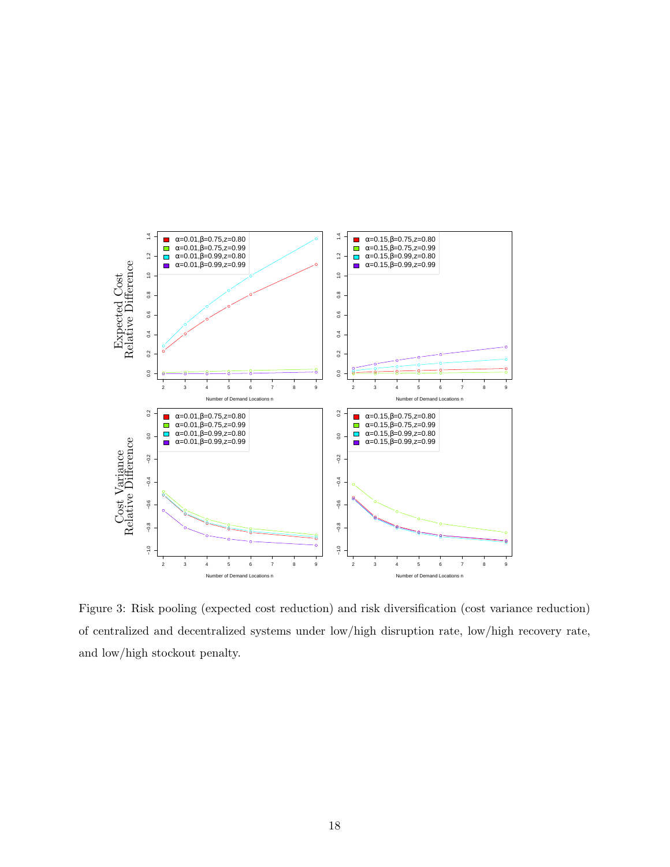

Figure 3: Risk pooling (expected cost reduction) and risk diversification (cost variance reduction) of centralized and decentralized systems under low/high disruption rate, low/high recovery rate, and low/high stockout penalty.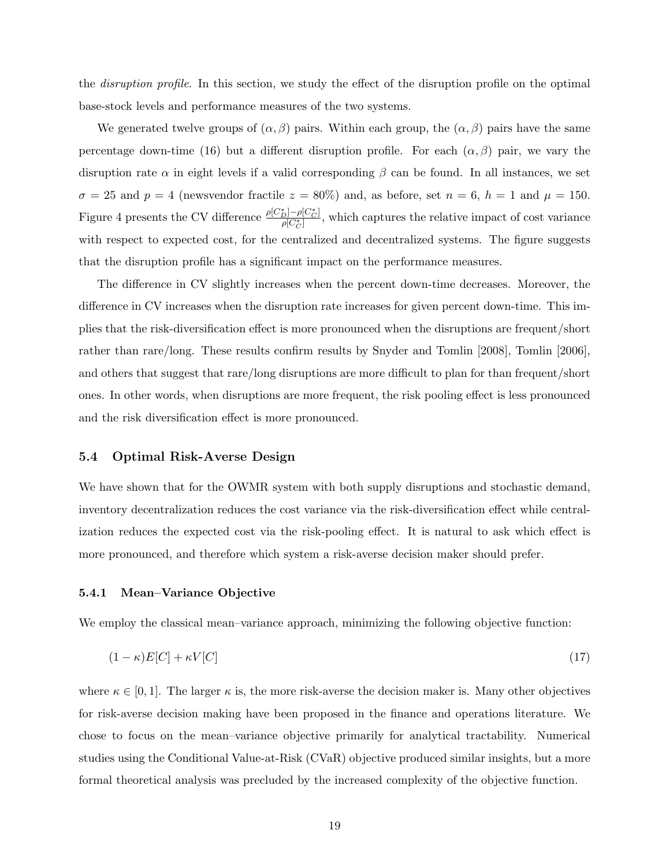the *disruption profile*. In this section, we study the effect of the disruption profile on the optimal base-stock levels and performance measures of the two systems.

We generated twelve groups of  $(\alpha, \beta)$  pairs. Within each group, the  $(\alpha, \beta)$  pairs have the same percentage down-time (16) but a different disruption profile. For each  $(\alpha, \beta)$  pair, we vary the disruption rate  $\alpha$  in eight levels if a valid corresponding  $\beta$  can be found. In all instances, we set  $\sigma = 25$  and  $p = 4$  (newsvendor fractile  $z = 80\%$ ) and, as before, set  $n = 6$ ,  $h = 1$  and  $\mu = 150$ . Figure 4 presents the CV difference  $\frac{\rho[C_{D}^{*}] - \rho[C_{C}^{*}]}{\rho[C^{*}]}$  $\frac{p_1 - p_1 \cup c_1}{p_1 \cup c_2}$ , which captures the relative impact of cost variance with respect to expected cost, for the centralized and decentralized systems. The figure suggests that the disruption profile has a significant impact on the performance measures.

The difference in CV slightly increases when the percent down-time decreases. Moreover, the difference in CV increases when the disruption rate increases for given percent down-time. This implies that the risk-diversification effect is more pronounced when the disruptions are frequent/short rather than rare/long. These results confirm results by Snyder and Tomlin [2008], Tomlin [2006], and others that suggest that rare/long disruptions are more difficult to plan for than frequent/short ones. In other words, when disruptions are more frequent, the risk pooling effect is less pronounced and the risk diversification effect is more pronounced.

#### 5.4 Optimal Risk-Averse Design

We have shown that for the OWMR system with both supply disruptions and stochastic demand, inventory decentralization reduces the cost variance via the risk-diversification effect while centralization reduces the expected cost via the risk-pooling effect. It is natural to ask which effect is more pronounced, and therefore which system a risk-averse decision maker should prefer.

#### 5.4.1 Mean–Variance Objective

We employ the classical mean–variance approach, minimizing the following objective function:

$$
(1 - \kappa)E[C] + \kappa V[C] \tag{17}
$$

where  $\kappa \in [0,1]$ . The larger  $\kappa$  is, the more risk-averse the decision maker is. Many other objectives for risk-averse decision making have been proposed in the finance and operations literature. We chose to focus on the mean–variance objective primarily for analytical tractability. Numerical studies using the Conditional Value-at-Risk (CVaR) objective produced similar insights, but a more formal theoretical analysis was precluded by the increased complexity of the objective function.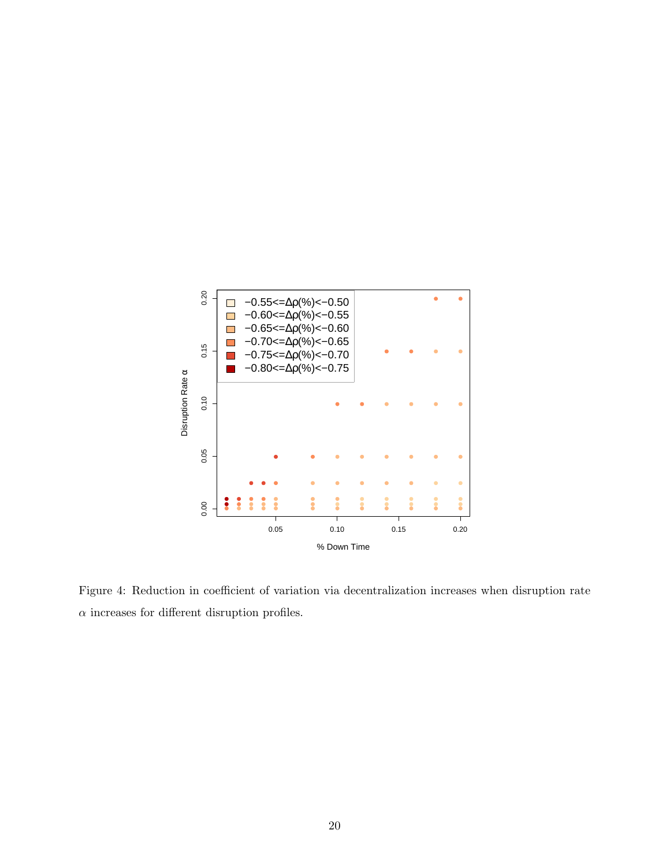

Figure 4: Reduction in coefficient of variation via decentralization increases when disruption rate  $\alpha$  increases for different disruption profiles.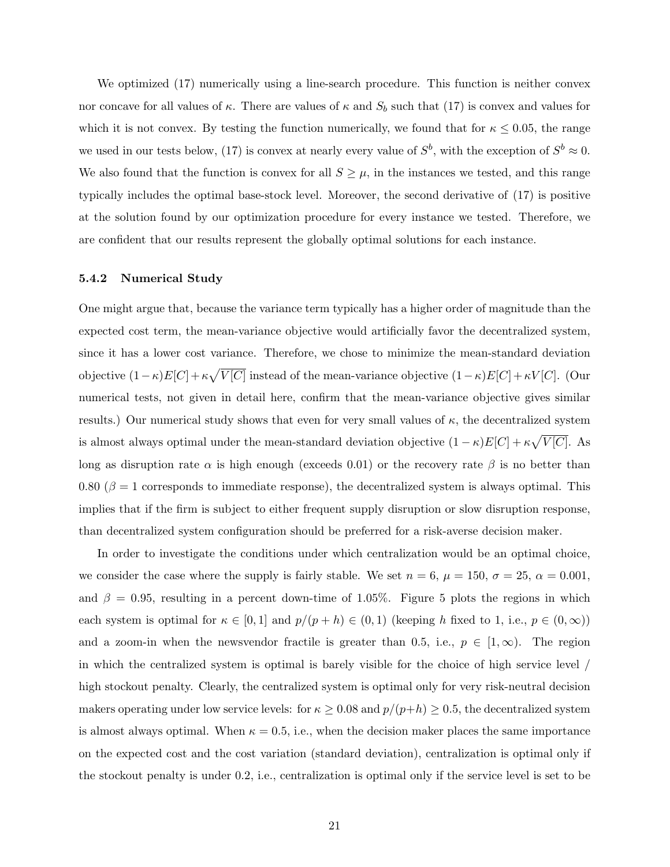We optimized (17) numerically using a line-search procedure. This function is neither convex nor concave for all values of  $\kappa$ . There are values of  $\kappa$  and  $S_b$  such that (17) is convex and values for which it is not convex. By testing the function numerically, we found that for  $\kappa \leq 0.05$ , the range we used in our tests below, (17) is convex at nearly every value of  $S^b$ , with the exception of  $S^b \approx 0$ . We also found that the function is convex for all  $S \geq \mu$ , in the instances we tested, and this range typically includes the optimal base-stock level. Moreover, the second derivative of (17) is positive at the solution found by our optimization procedure for every instance we tested. Therefore, we are confident that our results represent the globally optimal solutions for each instance.

#### 5.4.2 Numerical Study

One might argue that, because the variance term typically has a higher order of magnitude than the expected cost term, the mean-variance objective would artificially favor the decentralized system, since it has a lower cost variance. Therefore, we chose to minimize the mean-standard deviation objective  $(1 - \kappa)E[C] + \kappa \sqrt{V[C]}$  instead of the mean-variance objective  $(1 - \kappa)E[C] + \kappa V[C]$ . (Our numerical tests, not given in detail here, confirm that the mean-variance objective gives similar results.) Our numerical study shows that even for very small values of  $\kappa$ , the decentralized system is almost always optimal under the mean-standard deviation objective  $(1 - \kappa)E[C] + \kappa \sqrt{V[C]}$ . As long as disruption rate  $\alpha$  is high enough (exceeds 0.01) or the recovery rate  $\beta$  is no better than 0.80 ( $\beta = 1$  corresponds to immediate response), the decentralized system is always optimal. This implies that if the firm is subject to either frequent supply disruption or slow disruption response, than decentralized system configuration should be preferred for a risk-averse decision maker.

In order to investigate the conditions under which centralization would be an optimal choice, we consider the case where the supply is fairly stable. We set  $n = 6$ ,  $\mu = 150$ ,  $\sigma = 25$ ,  $\alpha = 0.001$ , and  $\beta = 0.95$ , resulting in a percent down-time of 1.05%. Figure 5 plots the regions in which each system is optimal for  $\kappa \in [0,1]$  and  $p/(p+h) \in (0,1)$  (keeping h fixed to 1, i.e.,  $p \in (0,\infty)$ ) and a zoom-in when the newsvendor fractile is greater than 0.5, i.e.,  $p \in [1,\infty)$ . The region in which the centralized system is optimal is barely visible for the choice of high service level / high stockout penalty. Clearly, the centralized system is optimal only for very risk-neutral decision makers operating under low service levels: for  $\kappa \geq 0.08$  and  $p/(p+h) \geq 0.5$ , the decentralized system is almost always optimal. When  $\kappa = 0.5$ , i.e., when the decision maker places the same importance on the expected cost and the cost variation (standard deviation), centralization is optimal only if the stockout penalty is under 0.2, i.e., centralization is optimal only if the service level is set to be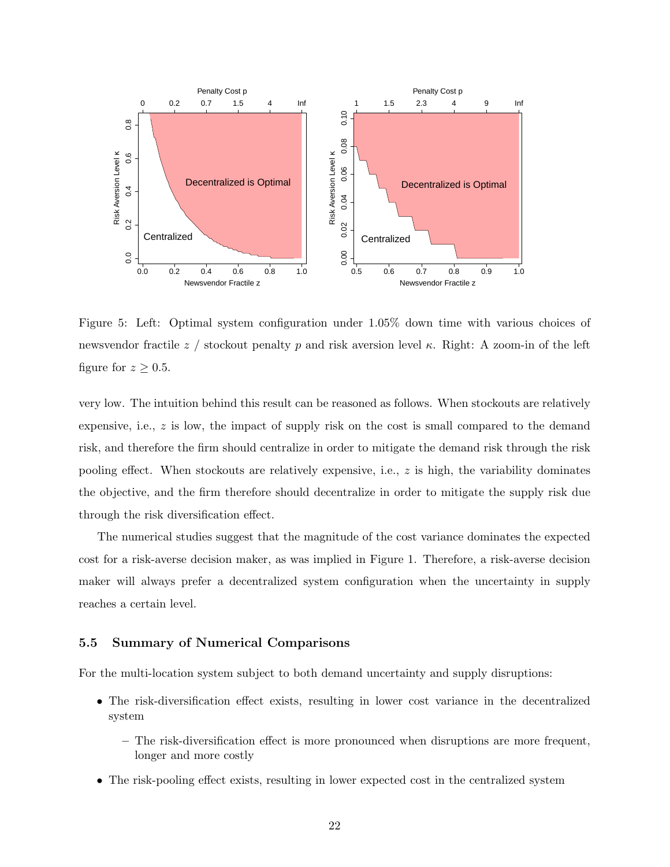

Figure 5: Left: Optimal system configuration under 1.05% down time with various choices of newsvendor fractile z / stockout penalty p and risk aversion level  $\kappa$ . Right: A zoom-in of the left figure for  $z \geq 0.5$ .

very low. The intuition behind this result can be reasoned as follows. When stockouts are relatively expensive, i.e., z is low, the impact of supply risk on the cost is small compared to the demand risk, and therefore the firm should centralize in order to mitigate the demand risk through the risk pooling effect. When stockouts are relatively expensive, i.e.,  $z$  is high, the variability dominates the objective, and the firm therefore should decentralize in order to mitigate the supply risk due through the risk diversification effect.

The numerical studies suggest that the magnitude of the cost variance dominates the expected cost for a risk-averse decision maker, as was implied in Figure 1. Therefore, a risk-averse decision maker will always prefer a decentralized system configuration when the uncertainty in supply reaches a certain level.

#### 5.5 Summary of Numerical Comparisons

For the multi-location system subject to both demand uncertainty and supply disruptions:

- The risk-diversification effect exists, resulting in lower cost variance in the decentralized system
	- The risk-diversification effect is more pronounced when disruptions are more frequent, longer and more costly
- The risk-pooling effect exists, resulting in lower expected cost in the centralized system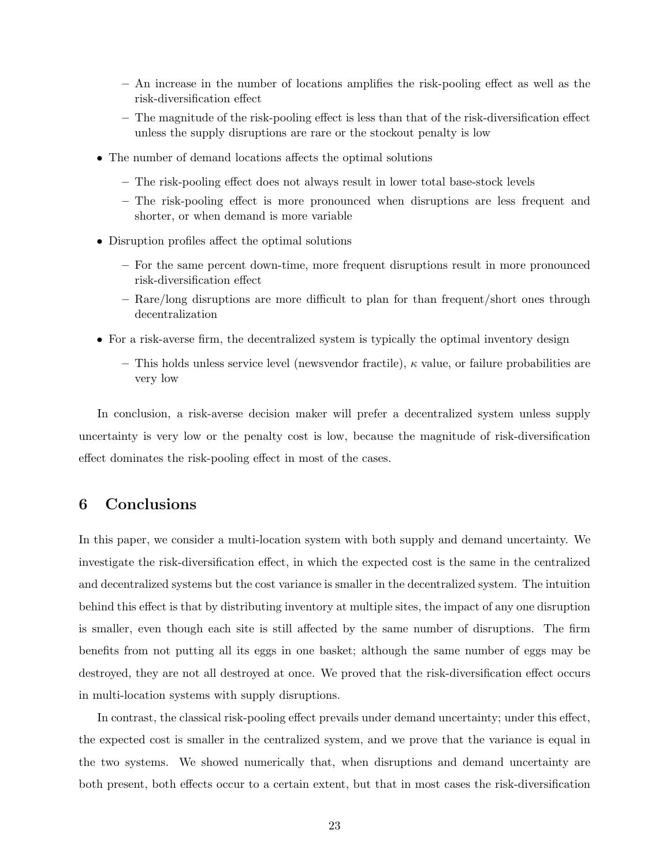- An increase in the number of locations amplifies the risk-pooling effect as well as the risk-diversification effect
- The magnitude of the risk-pooling effect is less than that of the risk-diversification effect unless the supply disruptions are rare or the stockout penalty is low
- The number of demand locations affects the optimal solutions
	- The risk-pooling effect does not always result in lower total base-stock levels
	- The risk-pooling effect is more pronounced when disruptions are less frequent and shorter, or when demand is more variable
- Disruption profiles affect the optimal solutions
	- For the same percent down-time, more frequent disruptions result in more pronounced risk-diversification effect
	- Rare/long disruptions are more difficult to plan for than frequent/short ones through decentralization
- For a risk-averse firm, the decentralized system is typically the optimal inventory design
	- This holds unless service level (newsvendor fractile),  $\kappa$  value, or failure probabilities are very low

In conclusion, a risk-averse decision maker will prefer a decentralized system unless supply uncertainty is very low or the penalty cost is low, because the magnitude of risk-diversification effect dominates the risk-pooling effect in most of the cases.

# 6 Conclusions

In this paper, we consider a multi-location system with both supply and demand uncertainty. We investigate the risk-diversification effect, in which the expected cost is the same in the centralized and decentralized systems but the cost variance is smaller in the decentralized system. The intuition behind this effect is that by distributing inventory at multiple sites, the impact of any one disruption is smaller, even though each site is still affected by the same number of disruptions. The firm benefits from not putting all its eggs in one basket; although the same number of eggs may be destroyed, they are not all destroyed at once. We proved that the risk-diversification effect occurs in multi-location systems with supply disruptions.

In contrast, the classical risk-pooling effect prevails under demand uncertainty; under this effect, the expected cost is smaller in the centralized system, and we prove that the variance is equal in the two systems. We showed numerically that, when disruptions and demand uncertainty are both present, both effects occur to a certain extent, but that in most cases the risk-diversification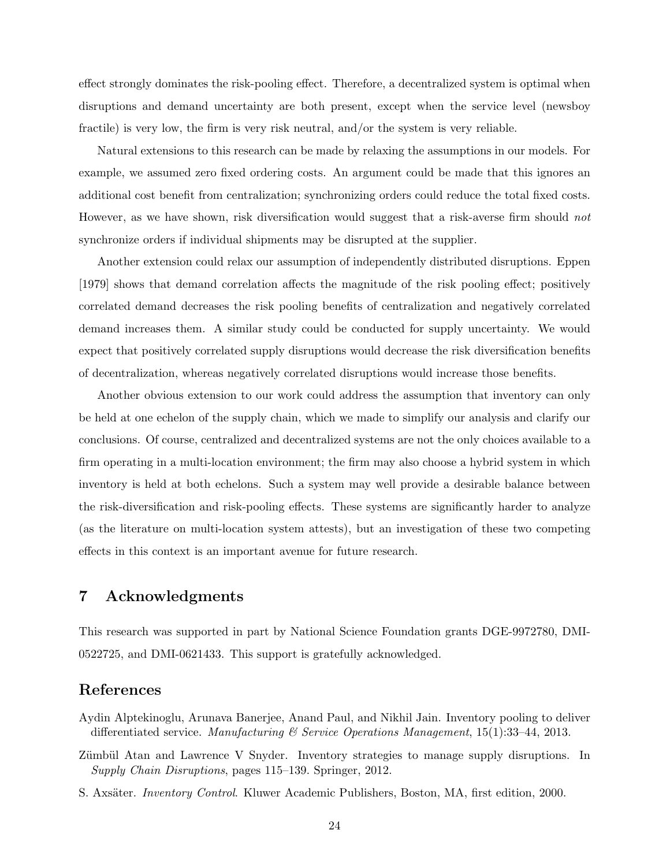effect strongly dominates the risk-pooling effect. Therefore, a decentralized system is optimal when disruptions and demand uncertainty are both present, except when the service level (newsboy fractile) is very low, the firm is very risk neutral, and/or the system is very reliable.

Natural extensions to this research can be made by relaxing the assumptions in our models. For example, we assumed zero fixed ordering costs. An argument could be made that this ignores an additional cost benefit from centralization; synchronizing orders could reduce the total fixed costs. However, as we have shown, risk diversification would suggest that a risk-averse firm should not synchronize orders if individual shipments may be disrupted at the supplier.

Another extension could relax our assumption of independently distributed disruptions. Eppen [1979] shows that demand correlation affects the magnitude of the risk pooling effect; positively correlated demand decreases the risk pooling benefits of centralization and negatively correlated demand increases them. A similar study could be conducted for supply uncertainty. We would expect that positively correlated supply disruptions would decrease the risk diversification benefits of decentralization, whereas negatively correlated disruptions would increase those benefits.

Another obvious extension to our work could address the assumption that inventory can only be held at one echelon of the supply chain, which we made to simplify our analysis and clarify our conclusions. Of course, centralized and decentralized systems are not the only choices available to a firm operating in a multi-location environment; the firm may also choose a hybrid system in which inventory is held at both echelons. Such a system may well provide a desirable balance between the risk-diversification and risk-pooling effects. These systems are significantly harder to analyze (as the literature on multi-location system attests), but an investigation of these two competing effects in this context is an important avenue for future research.

# 7 Acknowledgments

This research was supported in part by National Science Foundation grants DGE-9972780, DMI-0522725, and DMI-0621433. This support is gratefully acknowledged.

### References

- Aydin Alptekinoglu, Arunava Banerjee, Anand Paul, and Nikhil Jain. Inventory pooling to deliver differentiated service. Manufacturing  $\mathcal C$  Service Operations Management, 15(1):33-44, 2013.
- Zümbül Atan and Lawrence V Snyder. Inventory strategies to manage supply disruptions. In Supply Chain Disruptions, pages 115–139. Springer, 2012.
- S. Axsäter. *Inventory Control.* Kluwer Academic Publishers, Boston, MA, first edition, 2000.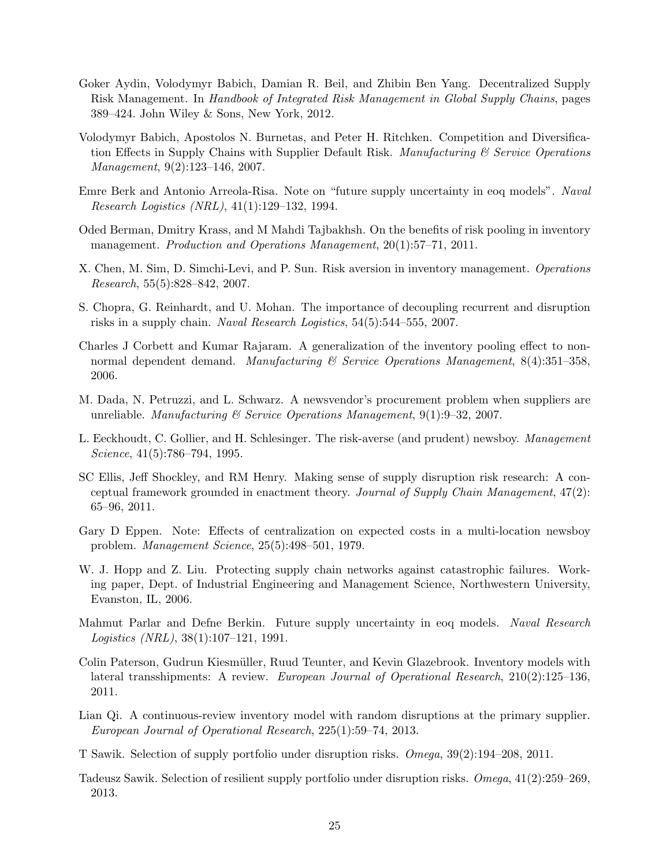- Goker Aydin, Volodymyr Babich, Damian R. Beil, and Zhibin Ben Yang. Decentralized Supply Risk Management. In Handbook of Integrated Risk Management in Global Supply Chains, pages 389–424. John Wiley & Sons, New York, 2012.
- Volodymyr Babich, Apostolos N. Burnetas, and Peter H. Ritchken. Competition and Diversification Effects in Supply Chains with Supplier Default Risk. Manufacturing  $\mathscr{C}$  Service Operations Management, 9(2):123–146, 2007.
- Emre Berk and Antonio Arreola-Risa. Note on "future supply uncertainty in eoq models". Naval Research Logistics (NRL), 41(1):129–132, 1994.
- Oded Berman, Dmitry Krass, and M Mahdi Tajbakhsh. On the benefits of risk pooling in inventory management. Production and Operations Management, 20(1):57-71, 2011.
- X. Chen, M. Sim, D. Simchi-Levi, and P. Sun. Risk aversion in inventory management. Operations Research, 55(5):828–842, 2007.
- S. Chopra, G. Reinhardt, and U. Mohan. The importance of decoupling recurrent and disruption risks in a supply chain. Naval Research Logistics, 54(5):544–555, 2007.
- Charles J Corbett and Kumar Rajaram. A generalization of the inventory pooling effect to nonnormal dependent demand. Manufacturing  $\mathcal B$  Service Operations Manugement, 8(4):351–358. 2006.
- M. Dada, N. Petruzzi, and L. Schwarz. A newsvendor's procurement problem when suppliers are unreliable. Manufacturing & Service Operations Management,  $9(1):9-32$ , 2007.
- L. Eeckhoudt, C. Gollier, and H. Schlesinger. The risk-averse (and prudent) newsboy. Management Science, 41(5):786–794, 1995.
- SC Ellis, Jeff Shockley, and RM Henry. Making sense of supply disruption risk research: A conceptual framework grounded in enactment theory. Journal of Supply Chain Management, 47(2): 65–96, 2011.
- Gary D Eppen. Note: Effects of centralization on expected costs in a multi-location newsboy problem. Management Science, 25(5):498–501, 1979.
- W. J. Hopp and Z. Liu. Protecting supply chain networks against catastrophic failures. Working paper, Dept. of Industrial Engineering and Management Science, Northwestern University, Evanston, IL, 2006.
- Mahmut Parlar and Defne Berkin. Future supply uncertainty in eoq models. Naval Research Logistics (NRL), 38(1):107–121, 1991.
- Colin Paterson, Gudrun Kiesmüller, Ruud Teunter, and Kevin Glazebrook. Inventory models with lateral transshipments: A review. European Journal of Operational Research, 210(2):125–136, 2011.
- Lian Qi. A continuous-review inventory model with random disruptions at the primary supplier. European Journal of Operational Research, 225(1):59–74, 2013.
- T Sawik. Selection of supply portfolio under disruption risks. Omega, 39(2):194–208, 2011.
- Tadeusz Sawik. Selection of resilient supply portfolio under disruption risks. Omega, 41(2):259–269, 2013.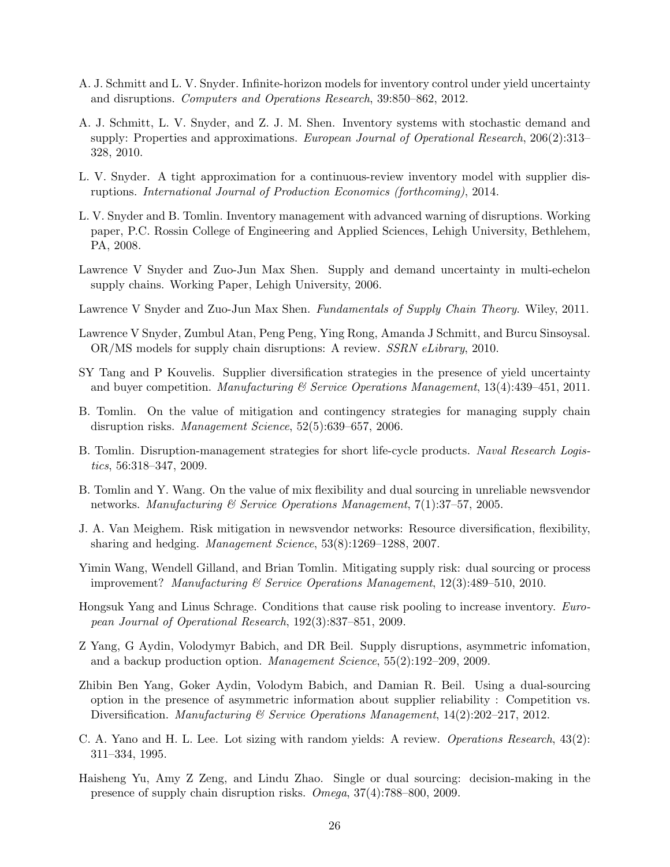- A. J. Schmitt and L. V. Snyder. Infinite-horizon models for inventory control under yield uncertainty and disruptions. Computers and Operations Research, 39:850–862, 2012.
- A. J. Schmitt, L. V. Snyder, and Z. J. M. Shen. Inventory systems with stochastic demand and supply: Properties and approximations. European Journal of Operational Research, 206(2):313– 328, 2010.
- L. V. Snyder. A tight approximation for a continuous-review inventory model with supplier disruptions. International Journal of Production Economics (forthcoming), 2014.
- L. V. Snyder and B. Tomlin. Inventory management with advanced warning of disruptions. Working paper, P.C. Rossin College of Engineering and Applied Sciences, Lehigh University, Bethlehem, PA, 2008.
- Lawrence V Snyder and Zuo-Jun Max Shen. Supply and demand uncertainty in multi-echelon supply chains. Working Paper, Lehigh University, 2006.
- Lawrence V Snyder and Zuo-Jun Max Shen. Fundamentals of Supply Chain Theory. Wiley, 2011.
- Lawrence V Snyder, Zumbul Atan, Peng Peng, Ying Rong, Amanda J Schmitt, and Burcu Sinsoysal. OR/MS models for supply chain disruptions: A review. SSRN eLibrary, 2010.
- SY Tang and P Kouvelis. Supplier diversification strategies in the presence of yield uncertainty and buyer competition. Manufacturing  $\mathcal C$  Service Operations Manugement, 13(4):439–451, 2011.
- B. Tomlin. On the value of mitigation and contingency strategies for managing supply chain disruption risks. Management Science, 52(5):639–657, 2006.
- B. Tomlin. Disruption-management strategies for short life-cycle products. Naval Research Logistics, 56:318–347, 2009.
- B. Tomlin and Y. Wang. On the value of mix flexibility and dual sourcing in unreliable newsvendor networks. Manufacturing  $\mathcal C$  Service Operations Manugement, 7(1):37–57, 2005.
- J. A. Van Meighem. Risk mitigation in newsvendor networks: Resource diversification, flexibility, sharing and hedging. Management Science, 53(8):1269–1288, 2007.
- Yimin Wang, Wendell Gilland, and Brian Tomlin. Mitigating supply risk: dual sourcing or process improvement? Manufacturing & Service Operations Management, 12(3):489–510, 2010.
- Hongsuk Yang and Linus Schrage. Conditions that cause risk pooling to increase inventory. European Journal of Operational Research, 192(3):837–851, 2009.
- Z Yang, G Aydin, Volodymyr Babich, and DR Beil. Supply disruptions, asymmetric infomation, and a backup production option. Management Science, 55(2):192–209, 2009.
- Zhibin Ben Yang, Goker Aydin, Volodym Babich, and Damian R. Beil. Using a dual-sourcing option in the presence of asymmetric information about supplier reliability : Competition vs. Diversification. Manufacturing & Service Operations Management, 14(2):202–217, 2012.
- C. A. Yano and H. L. Lee. Lot sizing with random yields: A review. Operations Research, 43(2): 311–334, 1995.
- Haisheng Yu, Amy Z Zeng, and Lindu Zhao. Single or dual sourcing: decision-making in the presence of supply chain disruption risks. Omega, 37(4):788–800, 2009.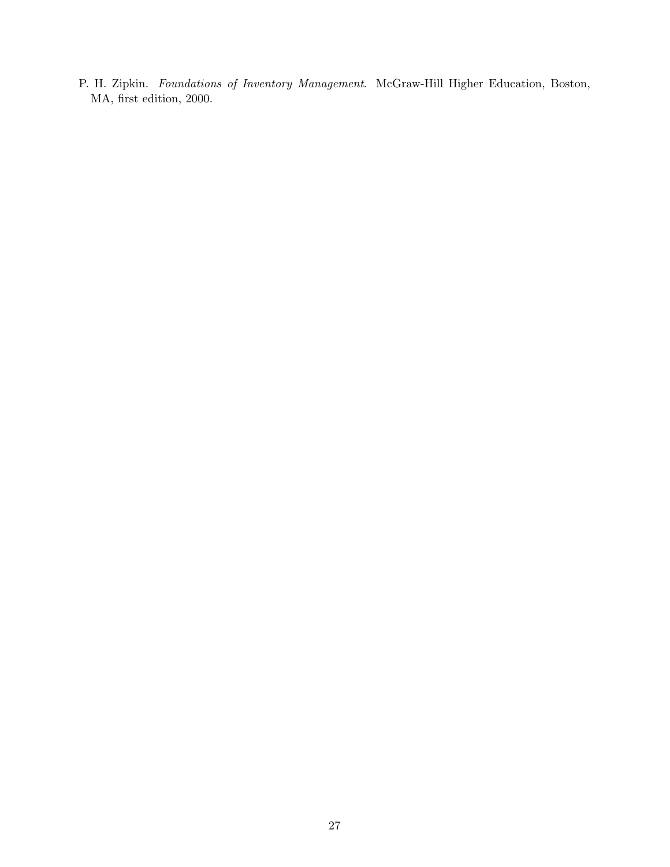P. H. Zipkin. Foundations of Inventory Management. McGraw-Hill Higher Education, Boston, MA, first edition, 2000.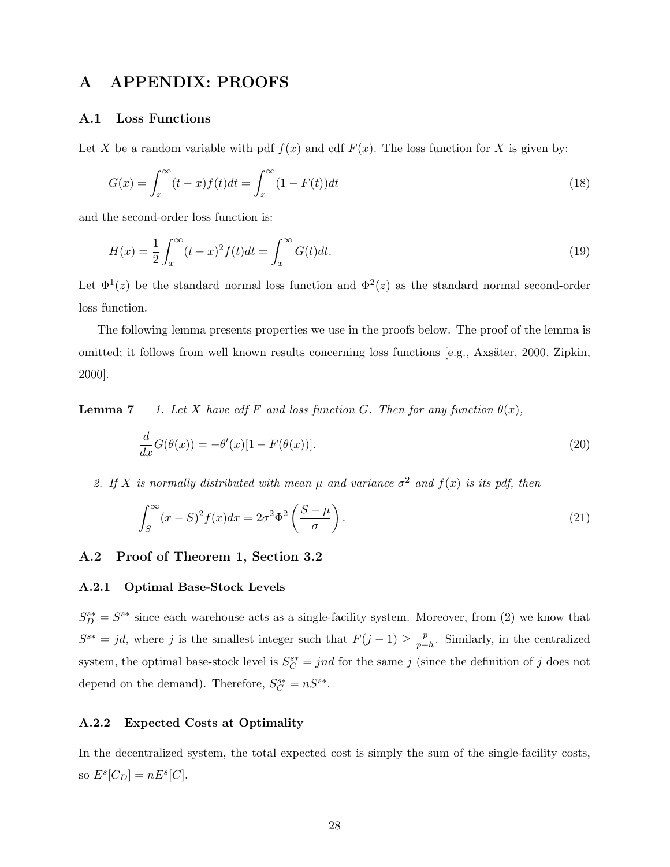### A APPENDIX: PROOFS

#### A.1 Loss Functions

Let X be a random variable with pdf  $f(x)$  and cdf  $F(x)$ . The loss function for X is given by:

$$
G(x) = \int_{x}^{\infty} (t - x)f(t)dt = \int_{x}^{\infty} (1 - F(t))dt
$$
\n(18)

and the second-order loss function is:

$$
H(x) = \frac{1}{2} \int_{x}^{\infty} (t - x)^2 f(t) dt = \int_{x}^{\infty} G(t) dt.
$$
 (19)

Let  $\Phi^1(z)$  be the standard normal loss function and  $\Phi^2(z)$  as the standard normal second-order loss function.

The following lemma presents properties we use in the proofs below. The proof of the lemma is omitted; it follows from well known results concerning loss functions [e.g., Axsäter, 2000, Zipkin, 2000].

**Lemma 7** 1. Let X have cdf F and loss function G. Then for any function  $\theta(x)$ ,

$$
\frac{d}{dx}G(\theta(x)) = -\theta'(x)[1 - F(\theta(x))].\tag{20}
$$

2. If X is normally distributed with mean  $\mu$  and variance  $\sigma^2$  and  $f(x)$  is its pdf, then

$$
\int_{S}^{\infty} (x - S)^2 f(x) dx = 2\sigma^2 \Phi^2 \left( \frac{S - \mu}{\sigma} \right). \tag{21}
$$

### A.2 Proof of Theorem 1, Section 3.2

#### A.2.1 Optimal Base-Stock Levels

 $S_D^{s*} = S^{s*}$  since each warehouse acts as a single-facility system. Moreover, from (2) we know that  $S^{s*} = jd$ , where j is the smallest integer such that  $F(j-1) \geq \frac{p}{n+1}$  $\frac{p}{p+h}$ . Similarly, in the centralized system, the optimal base-stock level is  $S_C^{s*} = jnd$  for the same j (since the definition of j does not depend on the demand). Therefore,  $S_C^{s*} = nS^{s*}$ .

### A.2.2 Expected Costs at Optimality

In the decentralized system, the total expected cost is simply the sum of the single-facility costs, so  $E^s[C_D] = nE^s[C]$ .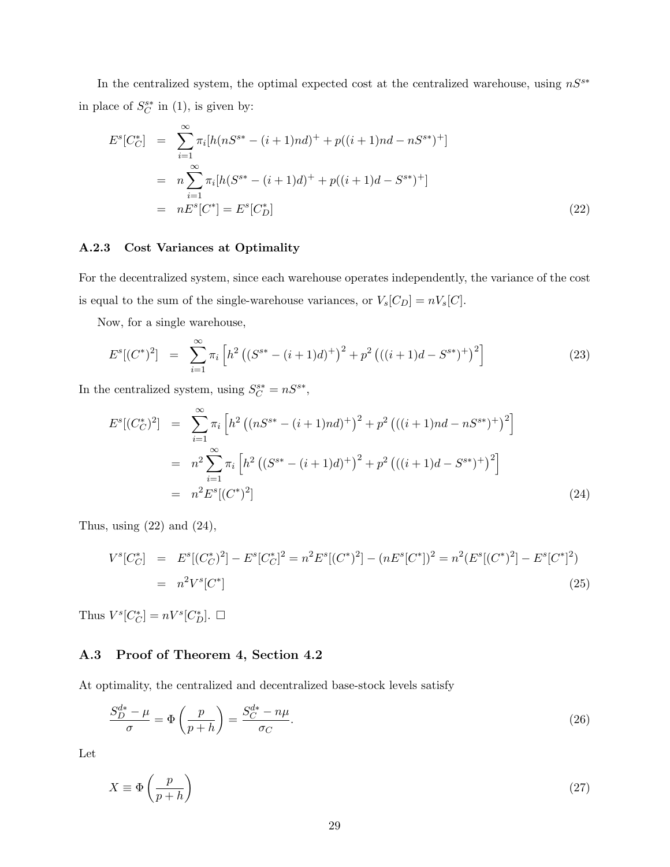In the centralized system, the optimal expected cost at the centralized warehouse, using  $nS^{s*}$ in place of  $S_C^{s*}$  in (1), is given by:

$$
E^{s}[C_{C}^{*}] = \sum_{i=1}^{\infty} \pi_{i}[h(nS^{s*} - (i+1)nd)^{+} + p((i+1)nd - nS^{s*})^{+}]
$$
  

$$
= n \sum_{i=1}^{\infty} \pi_{i}[h(S^{s*} - (i+1)d)^{+} + p((i+1)d - S^{s*})^{+}]
$$
  

$$
= nE^{s}[C^{*}] = E^{s}[C_{D}^{*}]
$$
 (22)

#### A.2.3 Cost Variances at Optimality

For the decentralized system, since each warehouse operates independently, the variance of the cost is equal to the sum of the single-warehouse variances, or  $V_s[C_D] = nV_s[C]$ .

Now, for a single warehouse,

$$
E^{s}[(C^{*})^{2}] = \sum_{i=1}^{\infty} \pi_{i} \left[ h^{2} \left( (S^{s*} - (i+1)d)^{+} \right)^{2} + p^{2} \left( ((i+1)d - S^{s*})^{+} \right)^{2} \right]
$$
(23)

In the centralized system, using  $S_C^{s*} = nS^{s*}$ ,

$$
E^{s}[(C_C^*)^2] = \sum_{i=1}^{\infty} \pi_i \left[ h^2 \left( (nS^{s*} - (i+1)nd)^+ \right)^2 + p^2 \left( ((i+1)nd - nS^{s*})^+ \right)^2 \right]
$$
  

$$
= n^2 \sum_{i=1}^{\infty} \pi_i \left[ h^2 \left( (S^{s*} - (i+1)d)^+ \right)^2 + p^2 \left( ((i+1)d - S^{s*})^+ \right)^2 \right]
$$
  

$$
= n^2 E^{s}[(C^*)^2]
$$
(24)

Thus, using  $(22)$  and  $(24)$ ,

$$
V^{s}[C_C^*] = E^{s}[(C_C^*)^2] - E^{s}[C_C^*]^2 = n^2 E^{s}[(C^*)^2] - (nE^{s}[C^*])^2 = n^2(E^{s}[(C^*)^2] - E^{s}[C^*]^2)
$$
  
=  $n^2 V^{s}[C^*]$  (25)

Thus  $V^s[C_C^*]=nV^s[C_D^*].$   $\Box$ 

### A.3 Proof of Theorem 4, Section 4.2

At optimality, the centralized and decentralized base-stock levels satisfy

$$
\frac{S_D^{d*} - \mu}{\sigma} = \Phi\left(\frac{p}{p + h}\right) = \frac{S_C^{d*} - n\mu}{\sigma_C}.\tag{26}
$$

Let

$$
X \equiv \Phi\left(\frac{p}{p+h}\right) \tag{27}
$$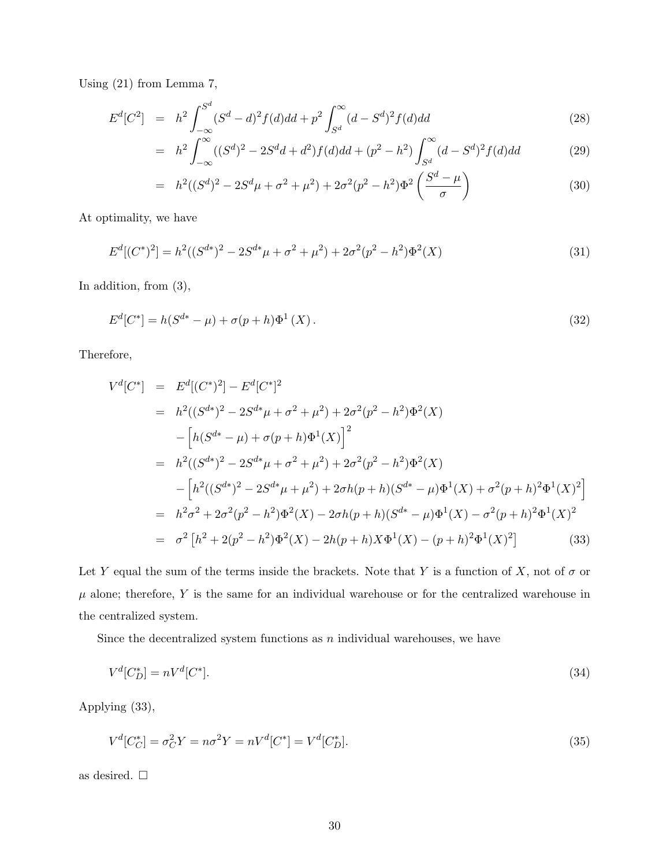Using (21) from Lemma 7,

$$
E^{d}[C^{2}] = h^{2} \int_{-\infty}^{S^{d}} (S^{d} - d)^{2} f(d) dd + p^{2} \int_{S^{d}}^{\infty} (d - S^{d})^{2} f(d) dd \qquad (28)
$$

$$
= h2 \int_{-\infty}^{\infty} ((Sd)2 - 2Sd d + d2) f(d) d d + (p2 – h2) \int_{Sd}^{\infty} (d - Sd)2 f(d) d d \qquad (29)
$$

$$
= h2((Sd)2 – 2Sdμ + σ2 + μ2) + 2σ2(p2 – h2)Φ2 \left( \frac{Sd – μ}{σ} \right)
$$
\n(30)

At optimality, we have

$$
E^d[(C^*)^2] = h^2((S^{d*})^2 - 2S^{d*}\mu + \sigma^2 + \mu^2) + 2\sigma^2(p^2 - h^2)\Phi^2(X)
$$
\n(31)

In addition, from (3),

$$
E^{d}[C^*] = h(S^{d*} - \mu) + \sigma(p+h)\Phi^1(X). \tag{32}
$$

Therefore,

$$
V^{d}[C^{*}] = E^{d}[(C^{*})^{2}] - E^{d}[C^{*}]^{2}
$$
  
\n
$$
= h^{2}((S^{d*})^{2} - 2S^{d*}\mu + \sigma^{2} + \mu^{2}) + 2\sigma^{2}(p^{2} - h^{2})\Phi^{2}(X)
$$
  
\n
$$
- [h(S^{d*} - \mu) + \sigma(p + h)\Phi^{1}(X)]^{2}
$$
  
\n
$$
= h^{2}((S^{d*})^{2} - 2S^{d*}\mu + \sigma^{2} + \mu^{2}) + 2\sigma^{2}(p^{2} - h^{2})\Phi^{2}(X)
$$
  
\n
$$
- [h^{2}((S^{d*})^{2} - 2S^{d*}\mu + \mu^{2}) + 2\sigma h(p + h)(S^{d*} - \mu)\Phi^{1}(X) + \sigma^{2}(p + h)^{2}\Phi^{1}(X)^{2}]
$$
  
\n
$$
= h^{2}\sigma^{2} + 2\sigma^{2}(p^{2} - h^{2})\Phi^{2}(X) - 2\sigma h(p + h)(S^{d*} - \mu)\Phi^{1}(X) - \sigma^{2}(p + h)^{2}\Phi^{1}(X)^{2}
$$
  
\n
$$
= \sigma^{2}[h^{2} + 2(p^{2} - h^{2})\Phi^{2}(X) - 2h(p + h)X\Phi^{1}(X) - (p + h)^{2}\Phi^{1}(X)^{2}]
$$
(33)

Let Y equal the sum of the terms inside the brackets. Note that Y is a function of X, not of  $\sigma$  or  $\mu$  alone; therefore, Y is the same for an individual warehouse or for the centralized warehouse in the centralized system.

Since the decentralized system functions as  $n$  individual warehouses, we have

$$
V^d[C_D^*] = nV^d[C^*].
$$
\n(34)

Applying (33),

$$
V^{d}[C_{C}^{*}] = \sigma_{C}^{2}Y = n\sigma^{2}Y = nV^{d}[C^{*}] = V^{d}[C_{D}^{*}].
$$
\n(35)

as desired.  $\Box$